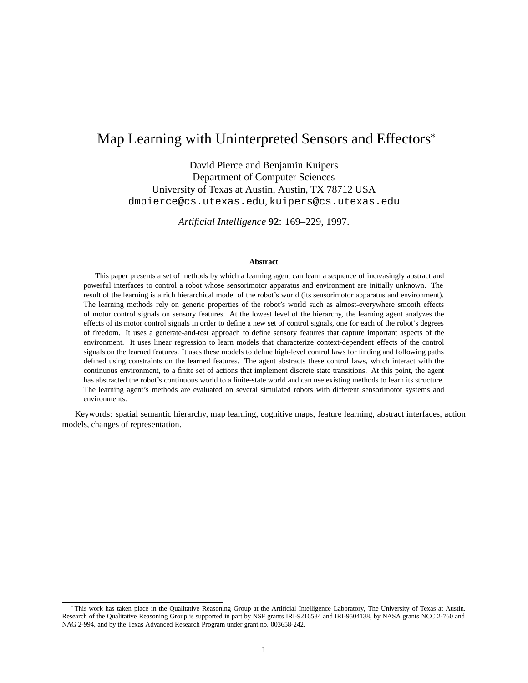# Map Learning with Uninterpreted Sensors and Effectors<sup>\*</sup>

David Pierce and Benjamin Kuipers Department of Computer Sciences University of Texas at Austin, Austin, TX 78712 USA dmpierce@cs.utexas.edu, kuipers@cs.utexas.edu

*Artificial Intelligence* **92**: 169–229, 1997.

### **Abstract**

This paper presents a set of methods by which a learning agent can learn a sequence of increasingly abstract and powerful interfaces to control a robot whose sensorimotor apparatus and environment are initially unknown. The result of the learning is a rich hierarchical model of the robot's world (its sensorimotor apparatus and environment). The learning methods rely on generic properties of the robot's world such as almost-everywhere smooth effects of motor control signals on sensory features. At the lowest level of the hierarchy, the learning agent analyzes the effects of its motor control signals in order to define a new set of control signals, one for each of the robot's degrees of freedom. It uses a generate-and-test approach to define sensory features that capture important aspects of the environment. It uses linear regression to learn models that characterize context-dependent effects of the control signals on the learned features. It uses these models to define high-level control laws for finding and following paths defined using constraints on the learned features. The agent abstracts these control laws, which interact with the continuous environment, to a finite set of actions that implement discrete state transitions. At this point, the agent has abstracted the robot's continuous world to a finite-state world and can use existing methods to learn its structure. The learning agent's methods are evaluated on several simulated robots with different sensorimotor systems and environments.

Keywords: spatial semantic hierarchy, map learning, cognitive maps, feature learning, abstract interfaces, action models, changes of representation.

This work has taken place in the Qualitative Reasoning Group at the Artificial Intelligence Laboratory, The University of Texas at Austin. Research of the Qualitative Reasoning Group is supported in part by NSF grants IRI-9216584 and IRI-9504138, by NASA grants NCC 2-760 and NAG 2-994, and by the Texas Advanced Research Program under grant no. 003658-242.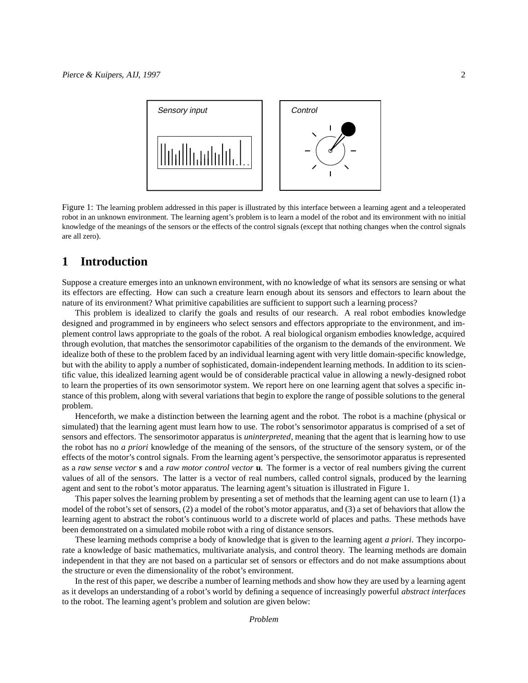

Figure 1: The learning problem addressed in this paper is illustrated by this interface between a learning agent and a teleoperated robot in an unknown environment. The learning agent's problem is to learn a model of the robot and its environment with no initial knowledge of the meanings of the sensors or the effects of the control signals (except that nothing changes when the control signals are all zero).

# **1 Introduction**

Suppose a creature emerges into an unknown environment, with no knowledge of what its sensors are sensing or what its effectors are effecting. How can such a creature learn enough about its sensors and effectors to learn about the nature of its environment? What primitive capabilities are sufficient to support such a learning process?

This problem is idealized to clarify the goals and results of our research. A real robot embodies knowledge designed and programmed in by engineers who select sensors and effectors appropriate to the environment, and implement control laws appropriate to the goals of the robot. A real biological organism embodies knowledge, acquired through evolution, that matches the sensorimotor capabilities of the organism to the demands of the environment. We idealize both of these to the problem faced by an individual learning agent with very little domain-specific knowledge, but with the ability to apply a number of sophisticated, domain-independent learning methods. In addition to its scientific value, this idealized learning agent would be of considerable practical value in allowing a newly-designed robot to learn the properties of its own sensorimotor system. We report here on one learning agent that solves a specific instance of this problem, along with several variations that begin to explore the range of possible solutions to the general problem.

Henceforth, we make a distinction between the learning agent and the robot. The robot is a machine (physical or simulated) that the learning agent must learn how to use. The robot's sensorimotor apparatus is comprised of a set of sensors and effectors. The sensorimotor apparatus is *uninterpreted*, meaning that the agent that is learning how to use the robot has no *a priori* knowledge of the meaning of the sensors, of the structure of the sensory system, or of the effects of the motor's control signals. From the learning agent's perspective, the sensorimotor apparatus is represented as a *raw sense vector* **s** and a *raw motor control vector* **u**. The former is a vector of real numbers giving the current values of all of the sensors. The latter is a vector of real numbers, called control signals, produced by the learning agent and sent to the robot's motor apparatus. The learning agent's situation is illustrated in Figure 1.

This paper solves the learning problem by presenting a set of methods that the learning agent can use to learn (1) a model of the robot's set of sensors, (2) a model of the robot's motor apparatus, and (3) a set of behaviors that allow the learning agent to abstract the robot's continuous world to a discrete world of places and paths. These methods have been demonstrated on a simulated mobile robot with a ring of distance sensors.

These learning methods comprise a body of knowledge that is given to the learning agent *a priori*. They incorporate a knowledge of basic mathematics, multivariate analysis, and control theory. The learning methods are domain independent in that they are not based on a particular set of sensors or effectors and do not make assumptions about the structure or even the dimensionality of the robot's environment.

In the rest of this paper, we describe a number of learning methods and show how they are used by a learning agent as it develops an understanding of a robot's world by defining a sequence of increasingly powerful *abstract interfaces* to the robot. The learning agent's problem and solution are given below: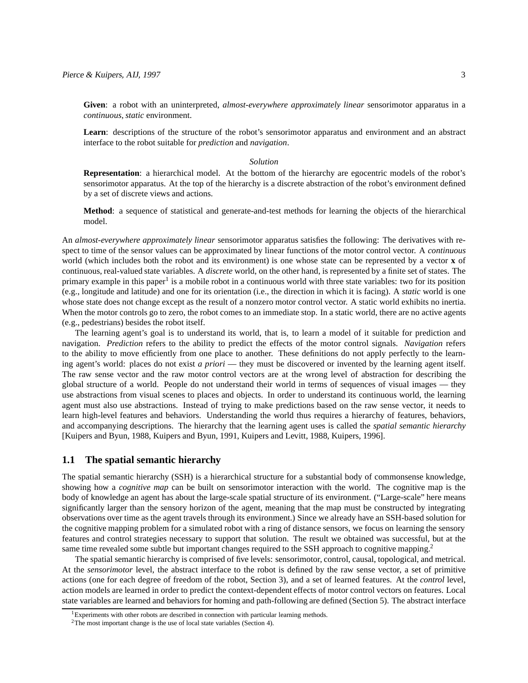**Given**: a robot with an uninterpreted, *almost-everywhere approximately linear* sensorimotor apparatus in a *continuous*, *static* environment.

**Learn**: descriptions of the structure of the robot's sensorimotor apparatus and environment and an abstract interface to the robot suitable for *prediction* and *navigation*.

#### *Solution*

**Representation**: a hierarchical model. At the bottom of the hierarchy are egocentric models of the robot's sensorimotor apparatus. At the top of the hierarchy is a discrete abstraction of the robot's environment defined by a set of discrete views and actions.

**Method**: a sequence of statistical and generate-and-test methods for learning the objects of the hierarchical model.

An *almost-everywhere approximately linear* sensorimotor apparatus satisfies the following: The derivatives with respect to time of the sensor values can be approximated by linear functions of the motor control vector. A *continuous* world (which includes both the robot and its environment) is one whose state can be represented by a vector **x** of continuous, real-valued state variables. A *discrete* world, on the other hand, is represented by a finite set of states. The primary example in this paper<sup>1</sup> is a mobile robot in a continuous world with three state variables: two for its position (e.g., longitude and latitude) and one for its orientation (i.e., the direction in which it is facing). A *static* world is one whose state does not change except as the result of a nonzero motor control vector. A static world exhibits no inertia. When the motor controls go to zero, the robot comes to an immediate stop. In a static world, there are no active agents (e.g., pedestrians) besides the robot itself.

The learning agent's goal is to understand its world, that is, to learn a model of it suitable for prediction and navigation. *Prediction* refers to the ability to predict the effects of the motor control signals. *Navigation* refers to the ability to move efficiently from one place to another. These definitions do not apply perfectly to the learning agent's world: places do not exist *a priori* — they must be discovered or invented by the learning agent itself. The raw sense vector and the raw motor control vectors are at the wrong level of abstraction for describing the global structure of a world. People do not understand their world in terms of sequences of visual images — they use abstractions from visual scenes to places and objects. In order to understand its continuous world, the learning agent must also use abstractions. Instead of trying to make predictions based on the raw sense vector, it needs to learn high-level features and behaviors. Understanding the world thus requires a hierarchy of features, behaviors, and accompanying descriptions. The hierarchy that the learning agent uses is called the *spatial semantic hierarchy* [Kuipers and Byun, 1988, Kuipers and Byun, 1991, Kuipers and Levitt, 1988, Kuipers, 1996].

## **1.1 The spatial semantic hierarchy**

The spatial semantic hierarchy (SSH) is a hierarchical structure for a substantial body of commonsense knowledge, showing how a *cognitive map* can be built on sensorimotor interaction with the world. The cognitive map is the body of knowledge an agent has about the large-scale spatial structure of its environment. ("Large-scale" here means significantly larger than the sensory horizon of the agent, meaning that the map must be constructed by integrating observations over time as the agent travels through its environment.) Since we already have an SSH-based solution for the cognitive mapping problem for a simulated robot with a ring of distance sensors, we focus on learning the sensory features and control strategies necessary to support that solution. The result we obtained was successful, but at the same time revealed some subtle but important changes required to the SSH approach to cognitive mapping.<sup>2</sup>

The spatial semantic hierarchy is comprised of five levels: sensorimotor, control, causal, topological, and metrical. At the *sensorimotor* level, the abstract interface to the robot is defined by the raw sense vector, a set of primitive actions (one for each degree of freedom of the robot, Section 3), and a set of learned features. At the *control* level, action models are learned in order to predict the context-dependent effects of motor control vectors on features. Local state variables are learned and behaviors for homing and path-following are defined (Section 5). The abstract interface

<sup>&</sup>lt;sup>1</sup>Experiments with other robots are described in connection with particular learning methods.

<sup>&</sup>lt;sup>2</sup>The most important change is the use of local state variables (Section 4).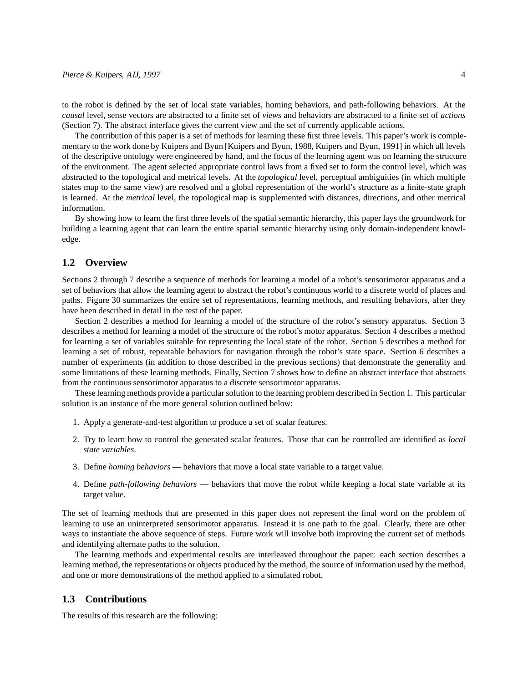to the robot is defined by the set of local state variables, homing behaviors, and path-following behaviors. At the *causal* level, sense vectors are abstracted to a finite set of *views* and behaviors are abstracted to a finite set of *actions* (Section 7). The abstract interface gives the current view and the set of currently applicable actions.

The contribution of this paper is a set of methods for learning these first three levels. This paper's work is complementary to the work done by Kuipers and Byun [Kuipers and Byun, 1988, Kuipers and Byun, 1991] in which all levels of the descriptive ontology were engineered by hand, and the focus of the learning agent was on learning the structure of the environment. The agent selected appropriate control laws from a fixed set to form the control level, which was abstracted to the topological and metrical levels. At the *topological* level, perceptual ambiguities (in which multiple states map to the same view) are resolved and a global representation of the world's structure as a finite-state graph is learned. At the *metrical* level, the topological map is supplemented with distances, directions, and other metrical information.

By showing how to learn the first three levels of the spatial semantic hierarchy, this paper lays the groundwork for building a learning agent that can learn the entire spatial semantic hierarchy using only domain-independent knowledge.

# **1.2 Overview**

Sections 2 through 7 describe a sequence of methods for learning a model of a robot's sensorimotor apparatus and a set of behaviors that allow the learning agent to abstract the robot's continuous world to a discrete world of places and paths. Figure 30 summarizes the entire set of representations, learning methods, and resulting behaviors, after they have been described in detail in the rest of the paper.

Section 2 describes a method for learning a model of the structure of the robot's sensory apparatus. Section 3 describes a method for learning a model of the structure of the robot's motor apparatus. Section 4 describes a method for learning a set of variables suitable for representing the local state of the robot. Section 5 describes a method for learning a set of robust, repeatable behaviors for navigation through the robot's state space. Section 6 describes a number of experiments (in addition to those described in the previous sections) that demonstrate the generality and some limitations of these learning methods. Finally, Section 7 shows how to define an abstract interface that abstracts from the continuous sensorimotor apparatus to a discrete sensorimotor apparatus.

These learning methods provide a particular solution to the learning problem described in Section 1. This particular solution is an instance of the more general solution outlined below:

- 1. Apply a generate-and-test algorithm to produce a set of scalar features.
- 2. Try to learn how to control the generated scalar features. Those that can be controlled are identified as *local state variables*.
- 3. Define *homing behaviors* behaviors that move a local state variable to a target value.
- 4. Define *path-following behaviors* behaviors that move the robot while keeping a local state variable at its target value.

The set of learning methods that are presented in this paper does not represent the final word on the problem of learning to use an uninterpreted sensorimotor apparatus. Instead it is one path to the goal. Clearly, there are other ways to instantiate the above sequence of steps. Future work will involve both improving the current set of methods and identifying alternate paths to the solution.

The learning methods and experimental results are interleaved throughout the paper: each section describes a learning method, the representations or objects produced by the method, the source of information used by the method, and one or more demonstrations of the method applied to a simulated robot.

## **1.3 Contributions**

The results of this research are the following: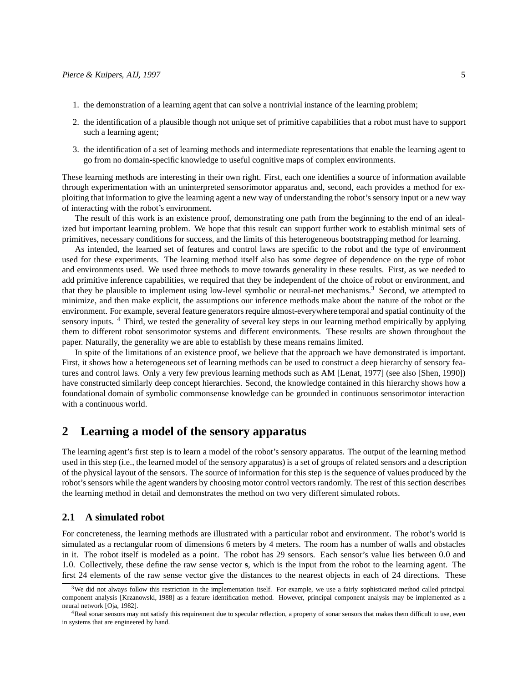- 1. the demonstration of a learning agent that can solve a nontrivial instance of the learning problem;
- 2. the identification of a plausible though not unique set of primitive capabilities that a robot must have to support such a learning agent;
- 3. the identification of a set of learning methods and intermediate representations that enable the learning agent to go from no domain-specific knowledge to useful cognitive maps of complex environments.

These learning methods are interesting in their own right. First, each one identifies a source of information available through experimentation with an uninterpreted sensorimotor apparatus and, second, each provides a method for exploiting that information to give the learning agent a new way of understanding the robot's sensory input or a new way of interacting with the robot's environment.

The result of this work is an existence proof, demonstrating one path from the beginning to the end of an idealized but important learning problem. We hope that this result can support further work to establish minimal sets of primitives, necessary conditions for success, and the limits of this heterogeneous bootstrapping method for learning.

As intended, the learned set of features and control laws are specific to the robot and the type of environment used for these experiments. The learning method itself also has some degree of dependence on the type of robot and environments used. We used three methods to move towards generality in these results. First, as we needed to add primitive inference capabilities, we required that they be independent of the choice of robot or environment, and that they be plausible to implement using low-level symbolic or neural-net mechanisms.<sup>3</sup> Second, we attempted to minimize, and then make explicit, the assumptions our inference methods make about the nature of the robot or the environment. For example, several feature generators require almost-everywhere temporal and spatial continuity of the sensory inputs. <sup>4</sup> Third, we tested the generality of several key steps in our learning method empirically by applying them to different robot sensorimotor systems and different environments. These results are shown throughout the paper. Naturally, the generality we are able to establish by these means remains limited.

In spite of the limitations of an existence proof, we believe that the approach we have demonstrated is important. First, it shows how a heterogeneous set of learning methods can be used to construct a deep hierarchy of sensory features and control laws. Only a very few previous learning methods such as AM [Lenat, 1977] (see also [Shen, 1990]) have constructed similarly deep concept hierarchies. Second, the knowledge contained in this hierarchy shows how a foundational domain of symbolic commonsense knowledge can be grounded in continuous sensorimotor interaction with a continuous world.

# **2 Learning a model of the sensory apparatus**

The learning agent's first step is to learn a model of the robot's sensory apparatus. The output of the learning method used in this step (i.e., the learned model of the sensory apparatus) is a set of groups of related sensors and a description of the physical layout of the sensors. The source of information for this step is the sequence of values produced by the robot's sensors while the agent wanders by choosing motor control vectors randomly. The rest of this section describes the learning method in detail and demonstrates the method on two very different simulated robots.

## **2.1 A simulated robot**

For concreteness, the learning methods are illustrated with a particular robot and environment. The robot's world is simulated as a rectangular room of dimensions 6 meters by 4 meters. The room has a number of walls and obstacles in it. The robot itself is modeled as a point. The robot has 29 sensors. Each sensor's value lies between 0:0 and 1:0. Collectively, these define the raw sense vector **s**, which is the input from the robot to the learning agent. The first 24 elements of the raw sense vector give the distances to the nearest objects in each of 24 directions. These

 $3$ We did not always follow this restriction in the implementation itself. For example, we use a fairly sophisticated method called principal component analysis [Krzanowski, 1988] as a feature identification method. However, principal component analysis may be implemented as a neural network [Oja, 1982].

<sup>&</sup>lt;sup>4</sup>Real sonar sensors may not satisfy this requirement due to specular reflection, a property of sonar sensors that makes them difficult to use, even in systems that are engineered by hand.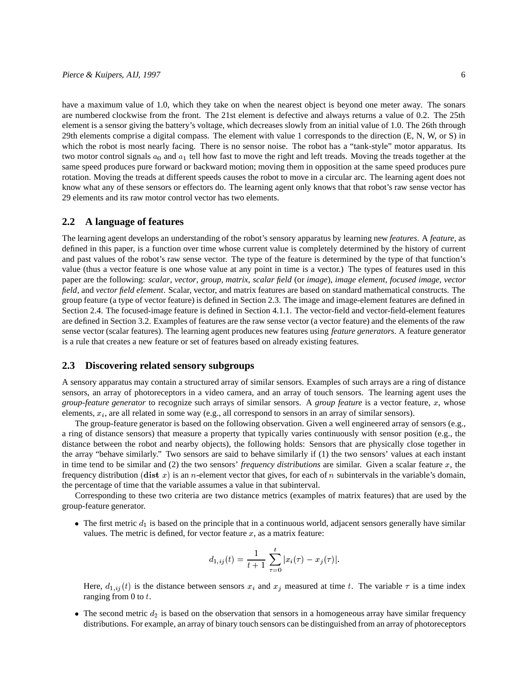have a maximum value of 1.0, which they take on when the nearest object is beyond one meter away. The sonars are numbered clockwise from the front. The 21st element is defective and always returns a value of 0.2. The 25th element is a sensor giving the battery's voltage, which decreases slowly from an initial value of 1.0. The 26th through 29th elements comprise a digital compass. The element with value 1 corresponds to the direction (E, N, W, or S) in which the robot is most nearly facing. There is no sensor noise. The robot has a "tank-style" motor apparatus. Its two motor control signals  $a_0$  and  $a_1$  tell how fast to move the right and left treads. Moving the treads together at the same speed produces pure forward or backward motion; moving them in opposition at the same speed produces pure rotation. Moving the treads at different speeds causes the robot to move in a circular arc. The learning agent does not know what any of these sensors or effectors do. The learning agent only knows that that robot's raw sense vector has 29 elements and its raw motor control vector has two elements.

## **2.2 A language of features**

The learning agent develops an understanding of the robot's sensory apparatus by learning new *features*. A *feature*, as defined in this paper, is a function over time whose current value is completely determined by the history of current and past values of the robot's raw sense vector. The type of the feature is determined by the type of that function's value (thus a vector feature is one whose value at any point in time is a vector.) The types of features used in this paper are the following: *scalar*, *vector*, *group*, *matrix*, *scalar field* (or *image*), *image element*, *focused image*, *vector field*, and *vector field element*. Scalar, vector, and matrix features are based on standard mathematical constructs. The group feature (a type of vector feature) is defined in Section 2.3. The image and image-element features are defined in Section 2.4. The focused-image feature is defined in Section 4.1.1. The vector-field and vector-field-element features are defined in Section 3.2. Examples of features are the raw sense vector (a vector feature) and the elements of the raw sense vector (scalar features). The learning agent produces new features using *feature generators*. A feature generator is a rule that creates a new feature or set of features based on already existing features.

## **2.3 Discovering related sensory subgroups**

A sensory apparatus may contain a structured array of similar sensors. Examples of such arrays are a ring of distance sensors, an array of photoreceptors in a video camera, and an array of touch sensors. The learning agent uses the *group-feature generator* to recognize such arrays of similar sensors. A *group feature* is a vector feature, x, whose elements,  $x_i$ , are all related in some way (e.g., all correspond to sensors in an array of similar sensors).

The group-feature generator is based on the following observation. Given a well engineered array of sensors (e.g., a ring of distance sensors) that measure a property that typically varies continuously with sensor position (e.g., the distance between the robot and nearby objects), the following holds: Sensors that are physically close together in the array "behave similarly." Two sensors are said to behave similarly if (1) the two sensors' values at each instant in time tend to be similar and (2) the two sensors' *frequency distributions* are similar. Given a scalar feature <sup>x</sup>, the frequency distribution (dist x) is an n-element vector that gives, for each of n subintervals in the variable's domain, the percentage of time that the variable assumes a value in that subinterval.

Corresponding to these two criteria are two distance metrics (examples of matrix features) that are used by the group-feature generator.

The first metric  $d_1$  is based on the principle that in a continuous world, adjacent sensors generally have similar values. The metric is defined, for vector feature  $x$ , as a matrix feature:

$$
d_{1,ij}(t) = \frac{1}{t+1} \sum_{\tau=0}^t |x_i(\tau) - x_j(\tau)|.
$$

Here,  $d_{1,ij}(t)$  is the distance between sensors  $x_i$  and  $x_j$  measured at time t. The variable  $\tau$  is a time index ranging from 0 to t.

The second metric  $d_2$  is based on the observation that sensors in a homogeneous array have similar frequency distributions. For example, an array of binary touch sensors can be distinguished from an array of photoreceptors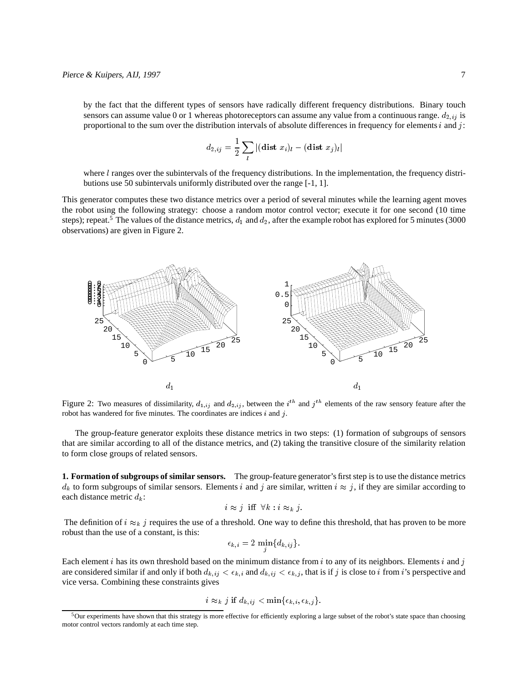by the fact that the different types of sensors have radically different frequency distributions. Binary touch sensors can assume value 0 or 1 whereas photoreceptors can assume any value from a continuous range.  $d_{2,ii}$  is proportional to the sum over the distribution intervals of absolute differences in frequency for elements  $i$  and  $j$ :

$$
d_{2,ij} = \frac{1}{2}\sum_l |(\mathbf{dist}\ x_i)_l - (\mathbf{dist}\ x_j)_l|
$$

where l ranges over the subintervals of the frequency distributions. In the implementation, the frequency distributions use 50 subintervals uniformly distributed over the range [-1, 1].

This generator computes these two distance metrics over a period of several minutes while the learning agent moves the robot using the following strategy: choose a random motor control vector; execute it for one second (10 time steps); repeat.<sup>5</sup> The values of the distance metrics,  $d_1$  and  $d_2$ , after the example robot has explored for 5 minutes (3000 observations) are given in Figure 2.



Figure 2: Two measures of dissimilarity,  $d_{1,ij}$  and  $d_{2,ij}$ , between the  $i^{th}$  and  $j^{th}$  elements of the raw sensory feature after the robot has wandered for five minutes. The coordinates are indices  $i$  and  $j$ .

The group-feature generator exploits these distance metrics in two steps: (1) formation of subgroups of sensors that are similar according to all of the distance metrics, and (2) taking the transitive closure of the similarity relation to form close groups of related sensors.

**1. Formation of subgroups of similar sensors.** The group-feature generator's first step is to use the distance metrics  $d_k$  to form subgroups of similar sensors. Elements i and j are similar, written  $i \approx j$ , if they are similar according to each distance metric  $d_k$ :

$$
i \approx j \text{ iff } \forall k : i \approx_k j.
$$

The definition of  $i \approx_k j$  requires the use of a threshold. One way to define this threshold, that has proven to be more robust than the use of a constant, is this:

$$
\epsilon_{k,i}=2\,\min_i\{d_{k,ij}\}.
$$

Each element  $i$  has its own threshold based on the minimum distance from  $i$  to any of its neighbors. Elements  $i$  and  $j$ are considered similar if and only if both  $d_{k,ij} < \epsilon_{k,i}$  and  $d_{k,ij} < \epsilon_{k,j}$ , that is if j is close to i from i's perspective and vice versa. Combining these constraints gives

$$
i \approx_k j \text{ if } d_{k,ij} < \min\{\epsilon_{k,i}, \epsilon_{k,j}\}.
$$

 $5$ Our experiments have shown that this strategy is more effective for efficiently exploring a large subset of the robot's state space than choosing motor control vectors randomly at each time step.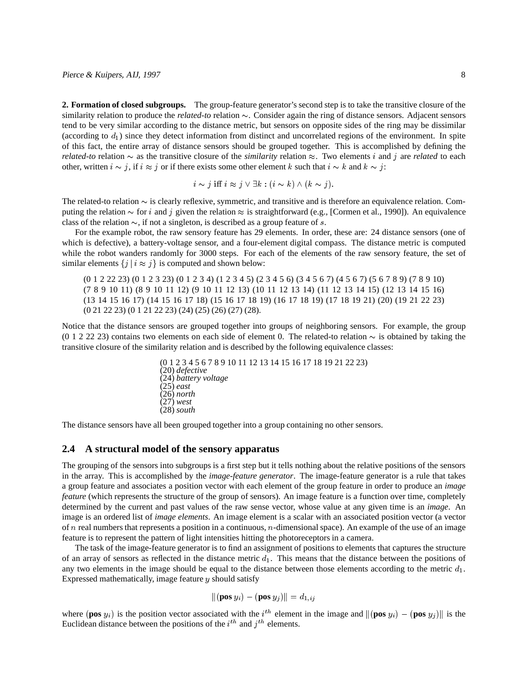**2. Formation of closed subgroups.** The group-feature generator's second step is to take the transitive closure of the similarity relation to produce the *related-to* relation  $\sim$ . Consider again the ring of distance sensors. Adjacent sensors tend to be very similar according to the distance metric, but sensors on opposite sides of the ring may be dissimilar (according to  $d_1$ ) since they detect information from distinct and uncorrelated regions of the environment. In spite of this fact, the entire array of distance sensors should be grouped together. This is accomplished by defining the *related-to* relation  $\sim$  as the transitive closure of the *similarity* relation  $\approx$ . Two elements i and j are *related* to each other, written  $i \sim j$ , if  $i \approx j$  or if there exists some other element k such that  $i \sim k$  and  $k \sim j$ :

$$
i \sim j
$$
 iff  $i \approx j \vee \exists k : (i \sim k) \wedge (k \sim j)$ .

The related-to relation  $\sim$  is clearly reflexive, symmetric, and transitive and is therefore an equivalence relation. Computing the relation  $\sim$  for i and j given the relation  $\approx$  is straightforward (e.g., [Cormen et al., 1990]). An equivalence class of the relation  $\sim$ , if not a singleton, is described as a group feature of s.

For the example robot, the raw sensory feature has 29 elements. In order, these are: 24 distance sensors (one of which is defective), a battery-voltage sensor, and a four-element digital compass. The distance metric is computed while the robot wanders randomly for 3000 steps. For each of the elements of the raw sensory feature, the set of similar elements  $\{j \mid i \approx j\}$  is computed and shown below:

(0 1 2 22 23) (0 1 2 3 23) (0 1 2 3 4) (1 2 3 4 5) (2 3 4 5 6) (3 4 5 6 7) (4 5 6 7) (5 6 7 8 9) (7 8 9 10) (7 8 9 10 11) (8 9 10 11 12) (9 10 11 12 13) (10 11 12 13 14) (11 12 13 14 15) (12 13 14 15 16) (13 14 15 16 17) (14 15 16 17 18) (15 16 17 18 19) (16 17 18 19) (17 18 19 21) (20) (19 21 22 23) (0 21 22 23) (0 1 21 22 23) (24) (25) (26) (27) (28).

Notice that the distance sensors are grouped together into groups of neighboring sensors. For example, the group (0 1 2 22 23) contains two elements on each side of element 0. The related-to relation  $\sim$  is obtained by taking the transitive closure of the similarity relation and is described by the following equivalence classes:

> (0 1 2 3 4 5 6 7 8 9 10 11 12 13 14 15 16 17 18 19 21 22 23) (20) *defective* (24) *battery voltage* (25) *east* (26) *north* (27) *west* (28) *south*

The distance sensors have all been grouped together into a group containing no other sensors.

# **2.4 A structural model of the sensory apparatus**

The grouping of the sensors into subgroups is a first step but it tells nothing about the relative positions of the sensors in the array. This is accomplished by the *image-feature generator*. The image-feature generator is a rule that takes a group feature and associates a position vector with each element of the group feature in order to produce an *image feature* (which represents the structure of the group of sensors). An image feature is a function over time, completely determined by the current and past values of the raw sense vector, whose value at any given time is an *image*. An image is an ordered list of *image elements*. An image element is a scalar with an associated position vector (a vector of n real numbers that represents a position in a continuous, n-dimensional space). An example of the use of an image feature is to represent the pattern of light intensities hitting the photoreceptors in a camera.

The task of the image-feature generator is to find an assignment of positions to elements that captures the structure of an array of sensors as reflected in the distance metric  $d_1$ . This means that the distance between the positions of any two elements in the image should be equal to the distance between those elements according to the metric  $d_1$ . Expressed mathematically, image feature  $y$  should satisfy

$$
\|(\mathbf{pos}\ y_i) - (\mathbf{pos}\ y_j)\| = d_{1,ij}
$$

where (**pos**  $y_i$ ) is the position vector associated with the *i*<sup>th</sup> element in the image and  $\|$ (**pos**  $y_i$ ) – (**pos**  $y_j$ ) $\|$  is the Euclidean distance between the positions of the  $i^{th}$  and  $j^{th}$  elements.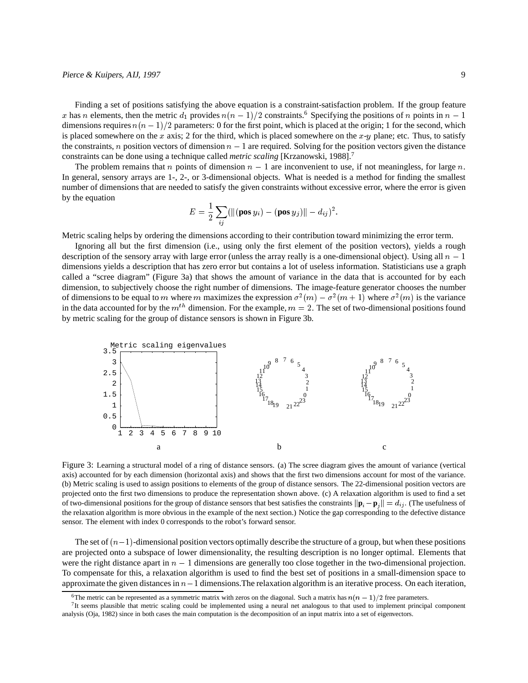#### Pierce & Kuipers, AIJ, 1997 9

Finding a set of positions satisfying the above equation is a constraint-satisfaction problem. If the group feature x has n elements, then the metric  $d_1$  provides  $n(n-1)/2$  constraints.<sup>6</sup> Specifying the positions of n points in  $n-1$ dimensions requires  $n(n-1)/2$  parameters: 0 for the first point, which is placed at the origin; 1 for the second, which is placed somewhere on the x axis; 2 for the third, which is placed somewhere on the  $x-y$  plane; etc. Thus, to satisfy the constraints, n position vectors of dimension  $n - 1$  are required. Solving for the position vectors given the distance constraints can be done using a technique called *metric scaling* [Krzanowski, 1988].<sup>7</sup>

The problem remains that n points of dimension  $n - 1$  are inconvenient to use, if not meaningless, for large n. In general, sensory arrays are 1-, 2-, or 3-dimensional objects. What is needed is a method for finding the smallest number of dimensions that are needed to satisfy the given constraints without excessive error, where the error is given by the equation

$$
E = \frac{1}{2} \sum_{ij} ( \|(\mathbf{pos}\ y_i) - (\mathbf{pos}\ y_j)\| - d_{ij})^2.
$$

Metric scaling helps by ordering the dimensions according to their contribution toward minimizing the error term.

Ignoring all but the first dimension (i.e., using only the first element of the position vectors), yields a rough description of the sensory array with large error (unless the array really is a one-dimensional object). Using all  $n - 1$ dimensions yields a description that has zero error but contains a lot of useless information. Statisticians use a graph called a "scree diagram" (Figure 3a) that shows the amount of variance in the data that is accounted for by each dimension, to subjectively choose the right number of dimensions. The image-feature generator chooses the number of dimensions to be equal to m where m maximizes the expression  $\sigma^2(m) - \sigma^2(m+1)$  where  $\sigma^2(m)$  is the variance in the data accounted for by the  $m<sup>th</sup>$  dimension. For the example,  $m = 2$ . The set of two-dimensional positions found by metric scaling for the group of distance sensors is shown in Figure 3b.



Figure 3: Learning a structural model of a ring of distance sensors. (a) The scree diagram gives the amount of variance (vertical axis) accounted for by each dimension (horizontal axis) and shows that the first two dimensions account for most of the variance. (b) Metric scaling is used to assign positions to elements of the group of distance sensors. The 22-dimensional position vectors are projected onto the first two dimensions to produce the representation shown above. (c) A relaxation algorithm is used to find a set of two-dimensional positions for the group of distance sensors that best satisfies the constraints  $\|\mathbf{p}_i - \mathbf{p}_j\| = d_{ij}$ . (The usefulness of the relaxation algorithm is more obvious in the example of the next section.) Notice the gap corresponding to the defective distance sensor. The element with index 0 corresponds to the robot's forward sensor.

The set of  $(n-1)$ -dimensional position vectors optimally describe the structure of a group, but when these positions are projected onto a subspace of lower dimensionality, the resulting description is no longer optimal. Elements that were the right distance apart in  $n - 1$  dimensions are generally too close together in the two-dimensional projection. To compensate for this, a relaxation algorithm is used to find the best set of positions in a small-dimension space to approximate the given distances in  $n-1$  dimensions. The relaxation algorithm is an iterative process. On each iteration,

<sup>&</sup>lt;sup>6</sup>The metric can be represented as a symmetric matrix with zeros on the diagonal. Such a matrix has  $n(n - 1)/2$  free parameters.

 $<sup>7</sup>$ It seems plausible that metric scaling could be implemented using a neural net analogous to that used to implement principal component</sup> analysis (Oja, 1982) since in both cases the main computation is the decomposition of an input matrix into a set of eigenvectors.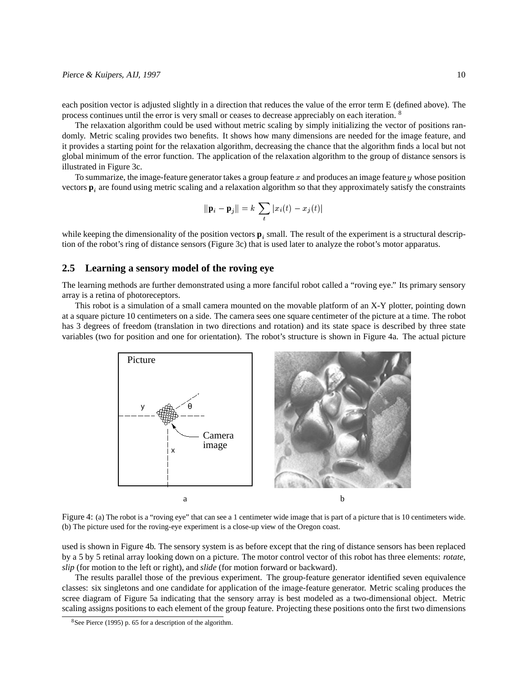in the company of the company of the company of the company of the company of the company of the company of the company of the company of the company of the company of the company of the company of the company of the compa

each position vector is adjusted slightly in a direction that reduces the value of the error term E (defined above). The process continues until the error is very small or ceases to decrease appreciably on each iteration. <sup>8</sup>

The relaxation algorithm could be used without metric scaling by simply initializing the vector of positions randomly. Metric scaling provides two benefits. It shows how many dimensions are needed for the image feature, and it provides a starting point for the relaxation algorithm, decreasing the chance that the algorithm finds a local but not global minimum of the error function. The application of the relaxation algorithm to the group of distance sensors is illustrated in Figure 3c.

To summarize, the image-feature generator takes a group feature x and produces an image feature y whose position vectors  $\mathbf{p}_i$  are found using metric scaling and a relaxation algorithm so that they approximately satisfy the constraints

$$
\|\mathbf{p}_i - \mathbf{p}_j\| = k \sum_t |x_i(t) - x_j(t)|
$$

while keeping the dimensionality of the position vectors  $\mathbf{p}_i$  small. The result of the experiment is a structural description of the robot's ring of distance sensors (Figure 3c) that is used later to analyze the robot's motor apparatus.

## **2.5 Learning a sensory model of the roving eye**

The learning methods are further demonstrated using a more fanciful robot called a "roving eye." Its primary sensory array is a retina of photoreceptors.

This robot is a simulation of a small camera mounted on the movable platform of an X-Y plotter, pointing down at a square picture 10 centimeters on a side. The camera sees one square centimeter of the picture at a time. The robot has 3 degrees of freedom (translation in two directions and rotation) and its state space is described by three state variables (two for position and one for orientation). The robot's structure is shown in Figure 4a. The actual picture



Figure 4: (a) The robot is a "roving eye" that can see a 1 centimeter wide image that is part of a picture that is 10 centimeters wide. (b) The picture used for the roving-eye experiment is a close-up view of the Oregon coast.

used is shown in Figure 4b. The sensory system is as before except that the ring of distance sensors has been replaced by a 5 by 5 retinal array looking down on a picture. The motor control vector of this robot has three elements: *rotate*, *slip* (for motion to the left or right), and *slide* (for motion forward or backward).

The results parallel those of the previous experiment. The group-feature generator identified seven equivalence classes: six singletons and one candidate for application of the image-feature generator. Metric scaling produces the scree diagram of Figure 5a indicating that the sensory array is best modeled as a two-dimensional object. Metric scaling assigns positions to each element of the group feature. Projecting these positions onto the first two dimensions

<sup>8</sup>See Pierce (1995) p. 65 for a description of the algorithm.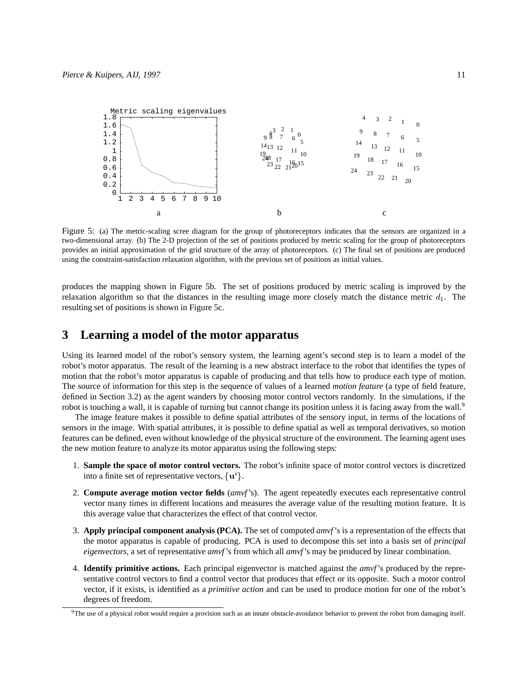

Figure 5: (a) The metric-scaling scree diagram for the group of photoreceptors indicates that the sensors are organized in a two-dimensional array. (b) The 2-D projection of the set of positions produced by metric scaling for the group of photoreceptors provides an initial approximation of the grid structure of the array of photoreceptors. (c) The final set of positions are produced using the constraint-satisfaction relaxation algorithm, with the previous set of positions as initial values.

produces the mapping shown in Figure 5b. The set of positions produced by metric scaling is improved by the relaxation algorithm so that the distances in the resulting image more closely match the distance metric  $d_1$ . The resulting set of positions is shown in Figure 5c.

# **3 Learning a model of the motor apparatus**

Using its learned model of the robot's sensory system, the learning agent's second step is to learn a model of the robot's motor apparatus. The result of the learning is a new abstract interface to the robot that identifies the types of motion that the robot's motor apparatus is capable of producing and that tells how to produce each type of motion. The source of information for this step is the sequence of values of a learned *motion feature* (a type of field feature, defined in Section 3.2) as the agent wanders by choosing motor control vectors randomly. In the simulations, if the robot is touching a wall, it is capable of turning but cannot change its position unless it is facing away from the wall.<sup>9</sup>

The image feature makes it possible to define spatial attributes of the sensory input, in terms of the locations of sensors in the image. With spatial attributes, it is possible to define spatial as well as temporal derivatives, so motion features can be defined, even without knowledge of the physical structure of the environment. The learning agent uses the new motion feature to analyze its motor apparatus using the following steps:

- 1. **Sample the space of motor control vectors.** The robot's infinite space of motor control vectors is discretized into a finite set of representative vectors,  $\{u^{i}\}.$
- 2. **Compute average motion vector fields** (*amvf*'s). The agent repeatedly executes each representative control vector many times in different locations and measures the average value of the resulting motion feature. It is this average value that characterizes the effect of that control vector.
- 3. **Apply principal component analysis (PCA).** The set of computed *amvf*'s is a representation of the effects that the motor apparatus is capable of producing. PCA is used to decompose this set into a basis set of *principal eigenvectors*, a set of representative *amvf*'s from which all *amvf*'s may be produced by linear combination.
- 4. **Identify primitive actions.** Each principal eigenvector is matched against the *amvf*'s produced by the representative control vectors to find a control vector that produces that effect or its opposite. Such a motor control vector, if it exists, is identified as a *primitive action* and can be used to produce motion for one of the robot's degrees of freedom.

 $9$ The use of a physical robot would require a provision such as an innate obstacle-avoidance behavior to prevent the robot from damaging itself.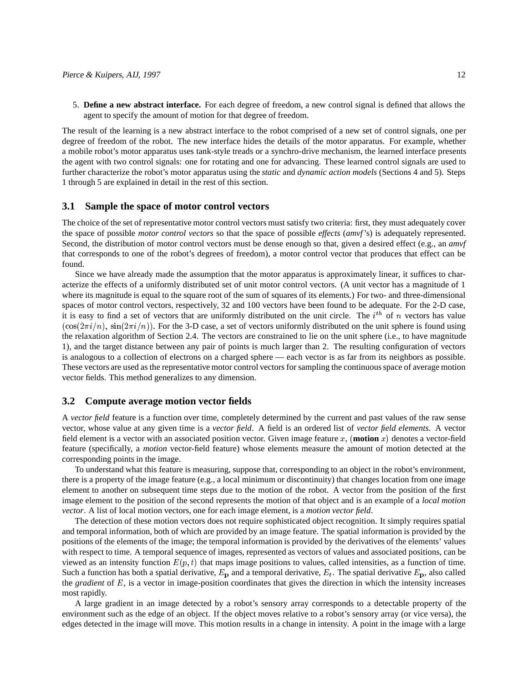5. **Define a new abstract interface.** For each degree of freedom, a new control signal is defined that allows the agent to specify the amount of motion for that degree of freedom.

The result of the learning is a new abstract interface to the robot comprised of a new set of control signals, one per degree of freedom of the robot. The new interface hides the details of the motor apparatus. For example, whether a mobile robot's motor apparatus uses tank-style treads or a synchro-drive mechanism, the learned interface presents the agent with two control signals: one for rotating and one for advancing. These learned control signals are used to further characterize the robot's motor apparatus using the *static* and *dynamic action models* (Sections 4 and 5). Steps 1 through 5 are explained in detail in the rest of this section.

### **3.1 Sample the space of motor control vectors**

The choice of the set of representative motor control vectors must satisfy two criteria: first, they must adequately cover the space of possible *motor control vectors* so that the space of possible *effects* (*amvf*'s) is adequately represented. Second, the distribution of motor control vectors must be dense enough so that, given a desired effect (e.g., an *amvf* that corresponds to one of the robot's degrees of freedom), a motor control vector that produces that effect can be found.

Since we have already made the assumption that the motor apparatus is approximately linear, it suffices to characterize the effects of a uniformly distributed set of unit motor control vectors. (A unit vector has a magnitude of 1 where its magnitude is equal to the square root of the sum of squares of its elements.) For two- and three-dimensional spaces of motor control vectors, respectively, 32 and 100 vectors have been found to be adequate. For the 2-D case, it is easy to find a set of vectors that are uniformly distributed on the unit circle. The  $i<sup>th</sup>$  of n vectors has value  $(\cos(2\pi i/n), \sin(2\pi i/n))$ . For the 3-D case, a set of vectors uniformly distributed on the unit sphere is found using the relaxation algorithm of Section 2.4. The vectors are constrained to lie on the unit sphere (i.e., to have magnitude 1), and the target distance between any pair of points is much larger than 2. The resulting configuration of vectors is analogous to a collection of electrons on a charged sphere — each vector is as far from its neighbors as possible. These vectors are used as the representative motor control vectors for sampling the continuous space of average motion vector fields. This method generalizes to any dimension.

### **3.2 Compute average motion vector fields**

A *vector field* feature is a function over time, completely determined by the current and past values of the raw sense vector, whose value at any given time is a *vector field*. A field is an ordered list of *vector field elements*. A vector field element is a vector with an associated position vector. Given image feature <sup>x</sup>, (**motion** x) denotes a vector-field feature (specifically, a *motion* vector-field feature) whose elements measure the amount of motion detected at the corresponding points in the image.

To understand what this feature is measuring, suppose that, corresponding to an object in the robot's environment, there is a property of the image feature (e.g., a local minimum or discontinuity) that changes location from one image element to another on subsequent time steps due to the motion of the robot. A vector from the position of the first image element to the position of the second represents the motion of that object and is an example of a *local motion vector*. A list of local motion vectors, one for each image element, is a *motion vector field*.

The detection of these motion vectors does not require sophisticated object recognition. It simply requires spatial and temporal information, both of which are provided by an image feature. The spatial information is provided by the positions of the elements of the image; the temporal information is provided by the derivatives of the elements' values with respect to time. A temporal sequence of images, represented as vectors of values and associated positions, can be viewed as an intensity function  $E(p, t)$  that maps image positions to values, called intensities, as a function of time. Such a function has both a spatial derivative,  $E_p$  and a temporal derivative,  $E_t$ . The spatial derivative  $E_p$ , also called the *gradient* of <sup>E</sup>, is a vector in image-position coordinates that gives the direction in which the intensity increases most rapidly.

A large gradient in an image detected by a robot's sensory array corresponds to a detectable property of the environment such as the edge of an object. If the object moves relative to a robot's sensory array (or vice versa), the edges detected in the image will move. This motion results in a change in intensity. A point in the image with a large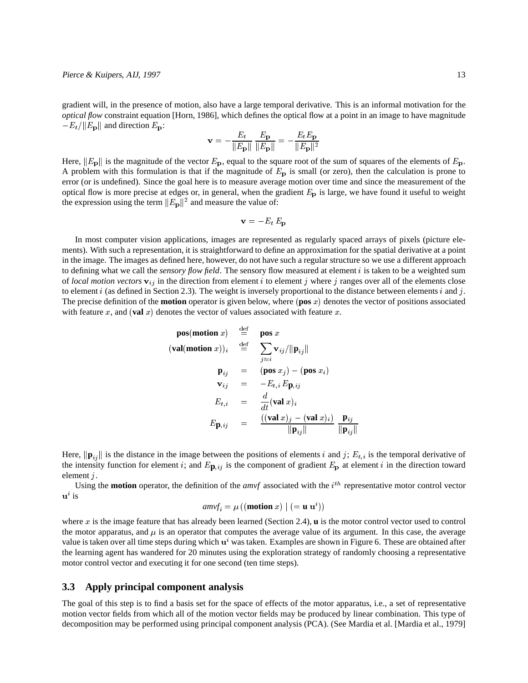gradient will, in the presence of motion, also have a large temporal derivative. This is an informal motivation for the *optical flow* constraint equation [Horn, 1986], which defines the optical flow at a point in an image to have magnitude  $-E_t/||E_p||$  and direction  $E_p$ :

$$
\mathbf{v} = -\frac{E_t}{\|E_\mathbf{p}\|} \frac{E_\mathbf{p}}{\|E_\mathbf{p}\|} = -\frac{E_t E_\mathbf{p}}{\|E_\mathbf{p}\|^2}
$$

Here,  $||E_p||$  is the magnitude of the vector  $E_p$ , equal to the square root of the sum of squares of the elements of  $E_p$ . A problem with this formulation is that if the magnitude of  $E<sub>p</sub>$  is small (or zero), then the calculation is prone to error (or is undefined). Since the goal here is to measure average motion over time and since the measurement of the optical flow is more precise at edges or, in general, when the gradient  $E_p$  is large, we have found it useful to weight the expression using the term  $||E_p||^2$  and measure the value of:

$$
\mathbf{v} = -E_t \, E_{\mathbf{p}}
$$

In most computer vision applications, images are represented as regularly spaced arrays of pixels (picture elements). With such a representation, it is straightforward to define an approximation for the spatial derivative at a point in the image. The images as defined here, however, do not have such a regular structure so we use a different approach to defining what we call the *sensory flow field*. The sensory flow measured at element <sup>i</sup> is taken to be a weighted sum of *local motion vectors*  $\mathbf{v}_{ij}$  in the direction from element i to element j where j ranges over all of the elements close to element i (as defined in Section 2.3). The weight is inversely proportional to the distance between elements i and j. The precise definition of the **motion** operator is given below, where (**pos** x) denotes the vector of positions associated with feature x, and (val x) denotes the vector of values associated with feature x.

$$
\begin{array}{rcl}\n\textbf{pos}(\textbf{motion } x) & \stackrel{\text{def}}{=} & \textbf{pos } x \\
(\textbf{val}(\textbf{motion } x))_i & \stackrel{\text{def}}{=} & \sum_{j \approx i} \mathbf{v}_{ij} / \|\mathbf{p}_{ij}\| \\
& \mathbf{p}_{ij} & = & (\textbf{pos } x_j) - (\textbf{pos } x_i) \\
& \mathbf{v}_{ij} & = & -E_{t,i} E_{\mathbf{p},ij} \\
& E_{t,i} & = & \frac{d}{dt} (\textbf{val } x)_i \\
& E_{\mathbf{p}, ij} & = & \frac{((\textbf{val } x)_j - (\textbf{val } x)_i)}{\|\mathbf{p}_{ij}\|} \frac{\mathbf{p}_{ij}}{\|\mathbf{p}_{ij}\|}\n\end{array}
$$

Here,  $\|\mathbf{p}_{i,j}\|$  is the distance in the image between the positions of elements i and j;  $E_{t,i}$  is the temporal derivative of the intensity function for element i; and  $E_{\mathbf{p},ij}$  is the component of gradient  $E_{\mathbf{p}}$  at element i in the direction toward element <sup>j</sup>.

Using the **motion** operator, the definition of the *amvf* associated with the  $i^{th}$  representative motor control vector  $\mathbf{u}^i$  is

$$
amvf_i = \mu ((\text{motion } x) \mid (= u u^i))
$$

where x is the image feature that has already been learned (Section 2.4), **u** is the motor control vector used to control the motor apparatus, and  $\mu$  is an operator that computes the average value of its argument. In this case, the average value is taken over all time steps during which  $u^i$  was taken. Examples are shown in Figure 6. These are obtained after the learning agent has wandered for 20 minutes using the exploration strategy of randomly choosing a representative motor control vector and executing it for one second (ten time steps).

# **3.3 Apply principal component analysis**

The goal of this step is to find a basis set for the space of effects of the motor apparatus, i.e., a set of representative motion vector fields from which all of the motion vector fields may be produced by linear combination. This type of decomposition may be performed using principal component analysis (PCA). (See Mardia et al. [Mardia et al., 1979]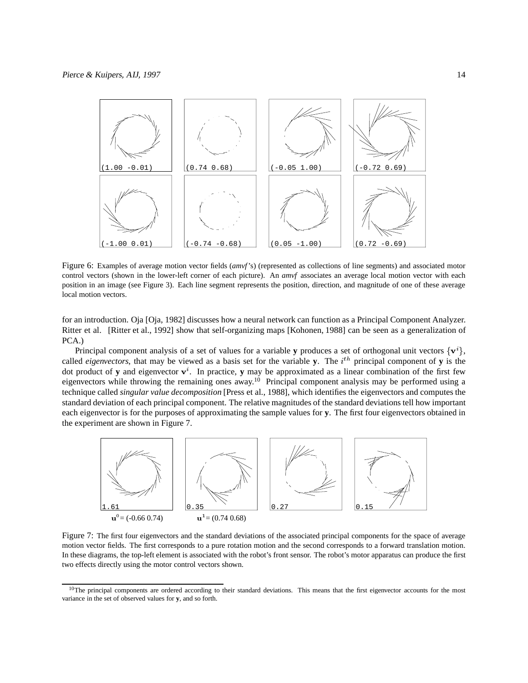

Figure 6: Examples of average motion vector fields (*amvf*'s) (represented as collections of line segments) and associated motor control vectors (shown in the lower-left corner of each picture). An *amvf* associates an average local motion vector with each position in an image (see Figure 3). Each line segment represents the position, direction, and magnitude of one of these average local motion vectors.

for an introduction. Oja [Oja, 1982] discusses how a neural network can function as a Principal Component Analyzer. Ritter et al. [Ritter et al., 1992] show that self-organizing maps [Kohonen, 1988] can be seen as a generalization of PCA.)

Principal component analysis of a set of values for a variable **y** produces a set of orthogonal unit vectors  $\{v^i\}$ , called *eigenvectors*, that may be viewed as a basis set for the variable **y**. The  $i^{th}$  principal component of **y** is the dot product of **y** and eigenvector  $\mathbf{v}^i$ . In practice, **y** may be approximated as a linear combination of the first few eigenvectors while throwing the remaining ones away.10 Principal component analysis may be performed using a technique called *singular value decomposition* [Press et al., 1988], which identifies the eigenvectors and computes the standard deviation of each principal component. The relative magnitudes of the standard deviations tell how important each eigenvector is for the purposes of approximating the sample values for **y**. The first four eigenvectors obtained in the experiment are shown in Figure 7.



Figure 7: The first four eigenvectors and the standard deviations of the associated principal components for the space of average motion vector fields. The first corresponds to a pure rotation motion and the second corresponds to a forward translation motion. In these diagrams, the top-left element is associated with the robot's front sensor. The robot's motor apparatus can produce the first two effects directly using the motor control vectors shown.

 $10$ The principal components are ordered according to their standard deviations. This means that the first eigenvector accounts for the most variance in the set of observed values for **y**, and so forth.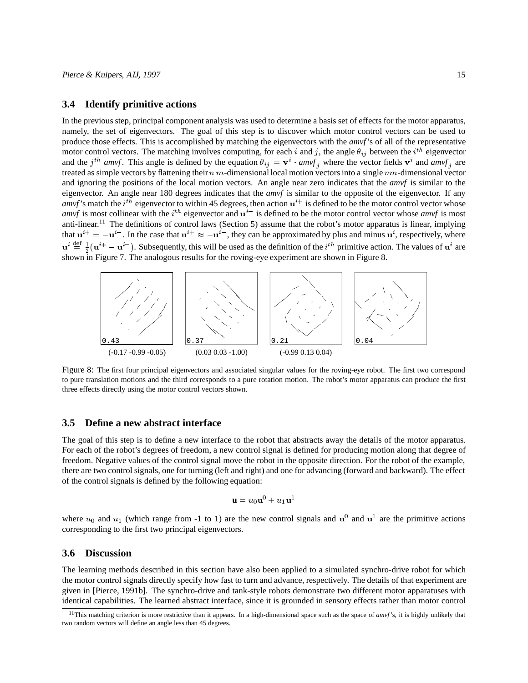# **3.4 Identify primitive actions**

In the previous step, principal component analysis was used to determine a basis set of effects for the motor apparatus, namely, the set of eigenvectors. The goal of this step is to discover which motor control vectors can be used to produce those effects. This is accomplished by matching the eigenvectors with the *amvf*'s of all of the representative motor control vectors. The matching involves computing, for each i and j, the angle  $\theta_{ij}$  between the i<sup>th</sup> eigenvector and the j<sup>th</sup> amvf. This angle is defined by the equation  $\theta_{ij} = \mathbf{v}^i \cdot amvf_j$ , where the vector fields  $\mathbf{v}^i$  and amvf<sub>i</sub> are treated as simple vectors by flattening their n m-dimensional local motion vectors into a single nm-dimensional vector and ignoring the positions of the local motion vectors. An angle near zero indicates that the *amvf* is similar to the eigenvector. An angle near 180 degrees indicates that the *amvf* is similar to the opposite of the eigenvector. If any *amvf*'s match the  $i^{th}$  eigenvector to within 45 degrees, then action  $u^{i+}$  is defined to be the motor control vector whose *amvf* is most collinear with the  $i^{th}$  eigenvector and  $\mathbf{u}^{i}$  is defined to be the motor control vector whose *amvf* is most anti-linear.<sup>11</sup> The definitions of control laws (Section 5) assume that the robot's motor apparatus is linear, implying that  $u^{i+} = -u^{i-}$ . In the case that  $u^{i+} \approx -u^{i-}$ , they can be approximated by plus and minus  $u^i$ , respectively, where  $\mathbf{u}^i \stackrel{\text{def}}{=} \frac{1}{2}(\mathbf{u}^{i+}-\mathbf{u}^{i-})$ . Subsequently, this will be used as the definition of the i<sup>th</sup> primitive action. The values of  $\mathbf{u}^i$  are shown in Figure 7. The analogous results for the roving-eye experiment are shown in Figure 8.



Figure 8: The first four principal eigenvectors and associated singular values for the roving-eye robot. The first two correspond to pure translation motions and the third corresponds to a pure rotation motion. The robot's motor apparatus can produce the first three effects directly using the motor control vectors shown.

### **3.5 Define a new abstract interface**

The goal of this step is to define a new interface to the robot that abstracts away the details of the motor apparatus. For each of the robot's degrees of freedom, a new control signal is defined for producing motion along that degree of freedom. Negative values of the control signal move the robot in the opposite direction. For the robot of the example, there are two control signals, one for turning (left and right) and one for advancing (forward and backward). The effect of the control signals is defined by the following equation:

$$
\mathbf{u}=u_0\mathbf{u}^0+u_1\mathbf{u}^1
$$

where  $u_0$  and  $u_1$  (which range from -1 to 1) are the new control signals and  $\mathbf{u}^0$  and  $\mathbf{u}^1$  are the primitive actions corresponding to the first two principal eigenvectors.

### **3.6 Discussion**

The learning methods described in this section have also been applied to a simulated synchro-drive robot for which the motor control signals directly specify how fast to turn and advance, respectively. The details of that experiment are given in [Pierce, 1991b]. The synchro-drive and tank-style robots demonstrate two different motor apparatuses with identical capabilities. The learned abstract interface, since it is grounded in sensory effects rather than motor control

<sup>11</sup>This matching criterion is more restrictive than it appears. In a high-dimensional space such as the space of *amvf*'s, it is highly unlikely that two random vectors will define an angle less than 45 degrees.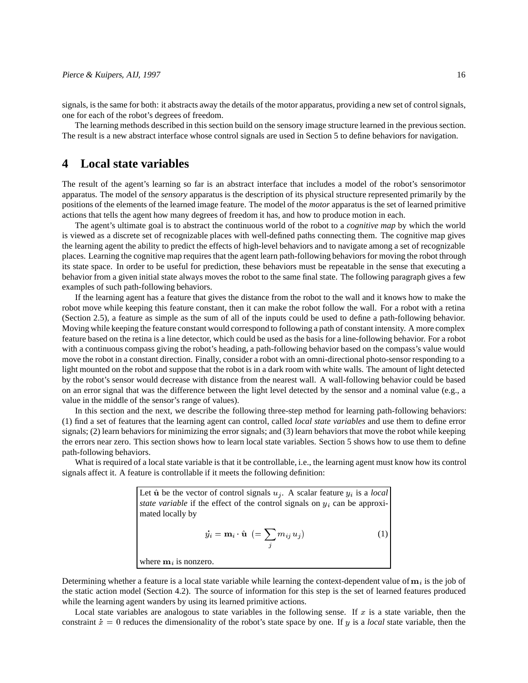signals, is the same for both: it abstracts away the details of the motor apparatus, providing a new set of control signals, one for each of the robot's degrees of freedom.

The learning methods described in this section build on the sensory image structure learned in the previous section. The result is a new abstract interface whose control signals are used in Section 5 to define behaviors for navigation.

# **4 Local state variables**

The result of the agent's learning so far is an abstract interface that includes a model of the robot's sensorimotor apparatus. The model of the *sensory* apparatus is the description of its physical structure represented primarily by the positions of the elements of the learned image feature. The model of the *motor* apparatus is the set of learned primitive actions that tells the agent how many degrees of freedom it has, and how to produce motion in each.

The agent's ultimate goal is to abstract the continuous world of the robot to a *cognitive map* by which the world is viewed as a discrete set of recognizable places with well-defined paths connecting them. The cognitive map gives the learning agent the ability to predict the effects of high-level behaviors and to navigate among a set of recognizable places. Learning the cognitive map requires that the agent learn path-following behaviors for moving the robot through its state space. In order to be useful for prediction, these behaviors must be repeatable in the sense that executing a behavior from a given initial state always moves the robot to the same final state. The following paragraph gives a few examples of such path-following behaviors.

If the learning agent has a feature that gives the distance from the robot to the wall and it knows how to make the robot move while keeping this feature constant, then it can make the robot follow the wall. For a robot with a retina (Section 2.5), a feature as simple as the sum of all of the inputs could be used to define a path-following behavior. Moving while keeping the feature constant would correspond to following a path of constant intensity. A more complex feature based on the retina is a line detector, which could be used as the basis for a line-following behavior. For a robot with a continuous compass giving the robot's heading, a path-following behavior based on the compass's value would move the robot in a constant direction. Finally, consider a robot with an omni-directional photo-sensor responding to a light mounted on the robot and suppose that the robot is in a dark room with white walls. The amount of light detected by the robot's sensor would decrease with distance from the nearest wall. A wall-following behavior could be based on an error signal that was the difference between the light level detected by the sensor and a nominal value (e.g., a value in the middle of the sensor's range of values).

In this section and the next, we describe the following three-step method for learning path-following behaviors: (1) find a set of features that the learning agent can control, called *local state variables* and use them to define error signals; (2) learn behaviors for minimizing the error signals; and (3) learn behaviors that move the robot while keeping the errors near zero. This section shows how to learn local state variables. Section 5 shows how to use them to define path-following behaviors.

What is required of a local state variable is that it be controllable, i.e., the learning agent must know how its control signals affect it. A feature is controllable if it meets the following definition:

| Let $\hat{u}$ be the vector of control signals $u_i$ . A scalar feature $y_i$ is a <i>local</i><br>state variable if the effect of the control signals on $y_i$ can be approxi- |  |
|---------------------------------------------------------------------------------------------------------------------------------------------------------------------------------|--|
| mated locally by                                                                                                                                                                |  |
| $\dot{y}_i = \mathbf{m}_i \cdot \hat{\mathbf{u}} \ \left( = \sum m_{ij} u_j \right)$                                                                                            |  |
| where $m_i$ is nonzero.                                                                                                                                                         |  |

Determining whether a feature is a local state variable while learning the context-dependent value of  $m_i$  is the job of the static action model (Section 4.2). The source of information for this step is the set of learned features produced while the learning agent wanders by using its learned primitive actions.

Local state variables are analogous to state variables in the following sense. If  $x$  is a state variable, then the constraint  $\dot{x} = 0$  reduces the dimensionality of the robot's state space by one. If y is a *local* state variable, then the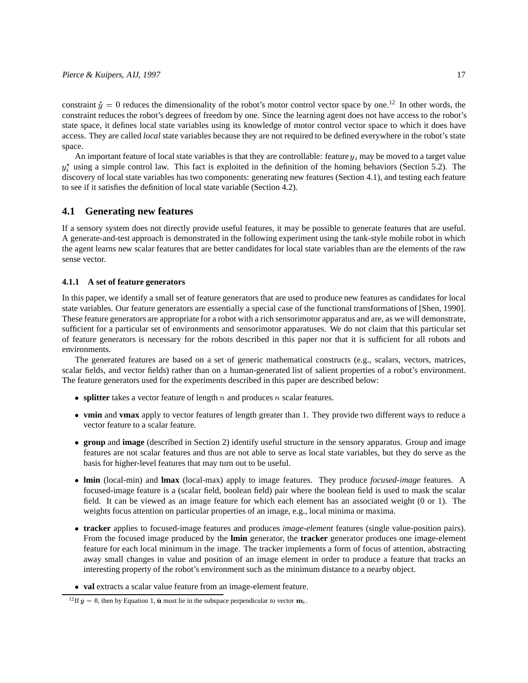constraint  $\dot{y} = 0$  reduces the dimensionality of the robot's motor control vector space by one.<sup>12</sup> In other words, the constraint reduces the robot's degrees of freedom by one. Since the learning agent does not have access to the robot's state space, it defines local state variables using its knowledge of motor control vector space to which it does have access. They are called *local* state variables because they are not required to be defined everywhere in the robot's state space.

An important feature of local state variables is that they are controllable: feature  $y_i$  may be moved to a target value  $y_i^*$  using a simple control law. This fact is exploited in the definition of the homing behaviors (Section 5.2). The discovery of local state variables has two components: generating new features (Section 4.1), and testing each feature to see if it satisfies the definition of local state variable (Section 4.2).

# **4.1 Generating new features**

If a sensory system does not directly provide useful features, it may be possible to generate features that are useful. A generate-and-test approach is demonstrated in the following experiment using the tank-style mobile robot in which the agent learns new scalar features that are better candidates for local state variables than are the elements of the raw sense vector.

### **4.1.1 A set of feature generators**

In this paper, we identify a small set of feature generators that are used to produce new features as candidates for local state variables. Our feature generators are essentially a special case of the functional transformations of [Shen, 1990]. These feature generators are appropriate for a robot with a rich sensorimotor apparatus and are, as we will demonstrate, sufficient for a particular set of environments and sensorimotor apparatuses. We do not claim that this particular set of feature generators is necessary for the robots described in this paper nor that it is sufficient for all robots and environments.

The generated features are based on a set of generic mathematical constructs (e.g., scalars, vectors, matrices, scalar fields, and vector fields) rather than on a human-generated list of salient properties of a robot's environment. The feature generators used for the experiments described in this paper are described below:

- **splitter** takes a vector feature of length n and produces n scalar features.
- **vmin** and **vmax** apply to vector features of length greater than 1. They provide two different ways to reduce a vector feature to a scalar feature.
- **group** and **image** (described in Section 2) identify useful structure in the sensory apparatus. Group and image features are not scalar features and thus are not able to serve as local state variables, but they do serve as the basis for higher-level features that may turn out to be useful.
- **lmin** (local-min) and **lmax** (local-max) apply to image features. They produce *focused-image* features. A focused-image feature is a (scalar field, boolean field) pair where the boolean field is used to mask the scalar field. It can be viewed as an image feature for which each element has an associated weight (0 or 1). The weights focus attention on particular properties of an image, e.g., local minima or maxima.
- **tracker** applies to focused-image features and produces *image-element* features (single value-position pairs). From the focused image produced by the **lmin** generator, the **tracker** generator produces one image-element feature for each local minimum in the image. The tracker implements a form of focus of attention, abstracting away small changes in value and position of an image element in order to produce a feature that tracks an interesting property of the robot's environment such as the minimum distance to a nearby object.
- **val** extracts a scalar value feature from an image-element feature.

<sup>&</sup>lt;sup>12</sup>If  $\dot{y} = 0$ , then by Equation 1,  $\hat{u}$  must lie in the subspace perpendicular to vector  $m_i$ .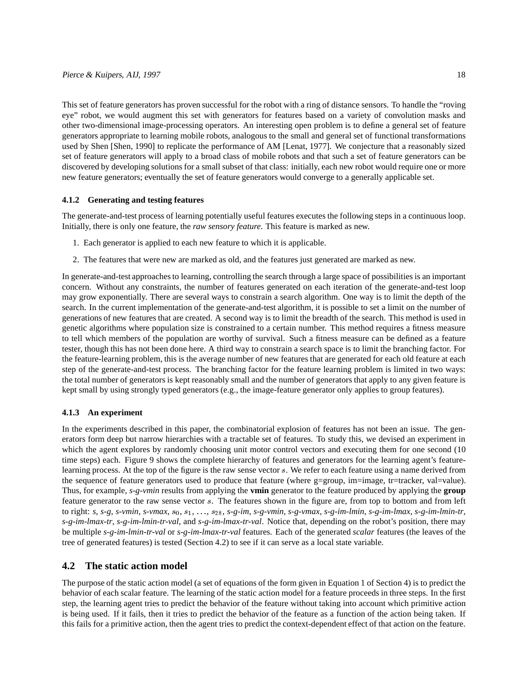This set of feature generators has proven successful for the robot with a ring of distance sensors. To handle the "roving eye" robot, we would augment this set with generators for features based on a variety of convolution masks and other two-dimensional image-processing operators. An interesting open problem is to define a general set of feature generators appropriate to learning mobile robots, analogous to the small and general set of functional transformations used by Shen [Shen, 1990] to replicate the performance of AM [Lenat, 1977]. We conjecture that a reasonably sized set of feature generators will apply to a broad class of mobile robots and that such a set of feature generators can be discovered by developing solutions for a small subset of that class: initially, each new robot would require one or more new feature generators; eventually the set of feature generators would converge to a generally applicable set.

### **4.1.2 Generating and testing features**

The generate-and-test process of learning potentially useful features executes the following steps in a continuous loop. Initially, there is only one feature, the *raw sensory feature*. This feature is marked as new.

- 1. Each generator is applied to each new feature to which it is applicable.
- 2. The features that were new are marked as old, and the features just generated are marked as new.

In generate-and-test approaches to learning, controlling the search through a large space of possibilities is an important concern. Without any constraints, the number of features generated on each iteration of the generate-and-test loop may grow exponentially. There are several ways to constrain a search algorithm. One way is to limit the depth of the search. In the current implementation of the generate-and-test algorithm, it is possible to set a limit on the number of generations of new features that are created. A second way is to limit the breadth of the search. This method is used in genetic algorithms where population size is constrained to a certain number. This method requires a fitness measure to tell which members of the population are worthy of survival. Such a fitness measure can be defined as a feature tester, though this has not been done here. A third way to constrain a search space is to limit the branching factor. For the feature-learning problem, this is the average number of new features that are generated for each old feature at each step of the generate-and-test process. The branching factor for the feature learning problem is limited in two ways: the total number of generators is kept reasonably small and the number of generators that apply to any given feature is kept small by using strongly typed generators (e.g., the image-feature generator only applies to group features).

### **4.1.3 An experiment**

In the experiments described in this paper, the combinatorial explosion of features has not been an issue. The generators form deep but narrow hierarchies with a tractable set of features. To study this, we devised an experiment in which the agent explores by randomly choosing unit motor control vectors and executing them for one second (10 time steps) each. Figure 9 shows the complete hierarchy of features and generators for the learning agent's featurelearning process. At the top of the figure is the raw sense vector <sup>s</sup>. We refer to each feature using a name derived from the sequence of feature generators used to produce that feature (where  $g=$ group, im=image, tr=tracker, val=value). Thus, for example, *s-g-vmin* results from applying the **vmin** generator to the feature produced by applying the **group** feature generator to the raw sense vector <sup>s</sup>. The features shown in the figure are, from top to bottom and from left to right: *s*, *s-g*, *s-vmin*, *s-vmax*, s0, s1, :::, s28, *s-g-im*, *s-g-vmin*, *s-g-vmax*, *s-g-im-lmin*, *s-g-im-lmax*, *s-g-im-lmin-tr*, *s-g-im-lmax-tr*, *s-g-im-lmin-tr-val*, and *s-g-im-lmax-tr-val*. Notice that, depending on the robot's position, there may be multiple *s-g-im-lmin-tr-val* or *s-g-im-lmax-tr-val* features. Each of the generated *scalar* features (the leaves of the tree of generated features) is tested (Section 4.2) to see if it can serve as a local state variable.

# **4.2 The static action model**

The purpose of the static action model (a set of equations of the form given in Equation 1 of Section 4) is to predict the behavior of each scalar feature. The learning of the static action model for a feature proceeds in three steps. In the first step, the learning agent tries to predict the behavior of the feature without taking into account which primitive action is being used. If it fails, then it tries to predict the behavior of the feature as a function of the action being taken. If this fails for a primitive action, then the agent tries to predict the context-dependent effect of that action on the feature.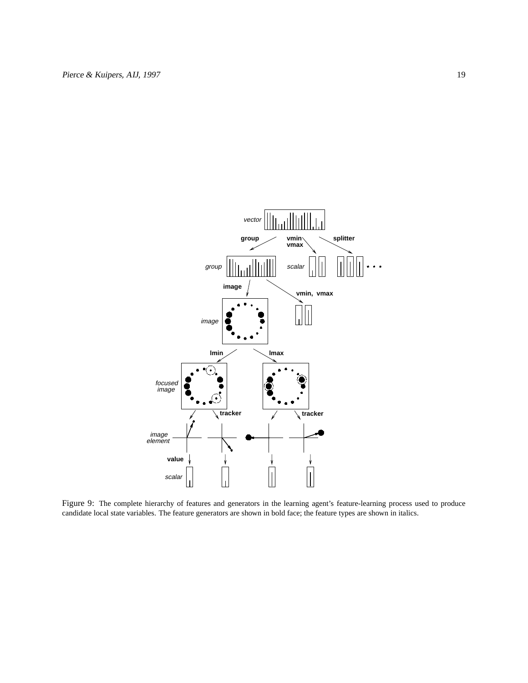

Figure 9: The complete hierarchy of features and generators in the learning agent's feature-learning process used to produce candidate local state variables. The feature generators are shown in bold face; the feature types are shown in italics.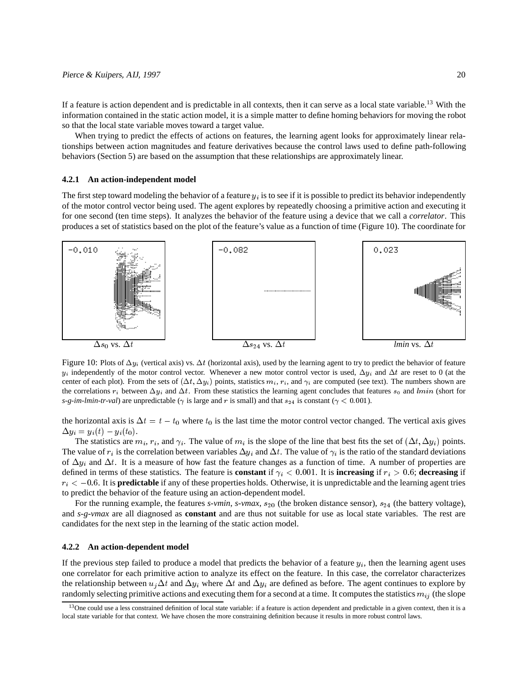If a feature is action dependent and is predictable in all contexts, then it can serve as a local state variable.<sup>13</sup> With the information contained in the static action model, it is a simple matter to define homing behaviors for moving the robot so that the local state variable moves toward a target value.

When trying to predict the effects of actions on features, the learning agent looks for approximately linear relationships between action magnitudes and feature derivatives because the control laws used to define path-following behaviors (Section 5) are based on the assumption that these relationships are approximately linear.

#### **4.2.1 An action-independent model**

The first step toward modeling the behavior of a feature  $y_i$  is to see if it is possible to predict its behavior independently of the motor control vector being used. The agent explores by repeatedly choosing a primitive action and executing it for one second (ten time steps). It analyzes the behavior of the feature using a device that we call a *correlator*. This produces a set of statistics based on the plot of the feature's value as a function of time (Figure 10). The coordinate for



Figure 10: Plots of  $\Delta y_i$  (vertical axis) vs.  $\Delta t$  (horizontal axis), used by the learning agent to try to predict the behavior of feature  $y_i$  independently of the motor control vector. Whenever a new motor control vector is used,  $\Delta y_i$  and  $\Delta t$  are reset to 0 (at the center of each plot). From the sets of  $(\Delta t, \Delta y_i)$  points, statistics  $m_i$ ,  $r_i$ , and  $\gamma_i$  are computed (see text). The numbers shown are the correlations  $r_i$  between  $\Delta y_i$  and  $\Delta t$ . From these statistics the learning agent concludes that features  $s_0$  and lmin (short for  $s-g\text{-}im\text{-}lm\text{-}tr\text{-}val$  are unpredictable ( $\gamma$  is large and r is small) and that  $s_{24}$  is constant ( $\gamma$  < 0.001).

the horizontal axis is  $\Delta t = t - t_0$  where  $t_0$  is the last time the motor control vector changed. The vertical axis gives  $\Delta y_i = y_i(t) - y_i(t_0).$ 

The statistics are  $m_i$ ,  $r_i$ , and  $\gamma_i$ . The value of  $m_i$  is the slope of the line that best fits the set of  $(\Delta t, \Delta y_i)$  points. The value of  $r_i$  is the correlation between variables  $\Delta y_i$  and  $\Delta t$ . The value of  $\gamma_i$  is the ratio of the standard deviations of  $\Delta y_i$  and  $\Delta t$ . It is a measure of how fast the feature changes as a function of time. A number of properties are defined in terms of these statistics. The feature is **constant** if  $\gamma_i < 0.001$ . It is **increasing** if  $r_i > 0.6$ ; **decreasing** if  $r_i < -0.6$ . It is **predictable** if any of these properties holds. Otherwise, it is unpredictable and the learning agent tries to predict the behavior of the feature using an action-dependent model.

For the running example, the features  $s$ -vmin,  $s$ -vmax,  $s_{20}$  (the broken distance sensor),  $s_{24}$  (the battery voltage), and *s-g-vmax* are all diagnosed as **constant** and are thus not suitable for use as local state variables. The rest are candidates for the next step in the learning of the static action model.

### **4.2.2 An action-dependent model**

If the previous step failed to produce a model that predicts the behavior of a feature  $y_i$ , then the learning agent uses one correlator for each primitive action to analyze its effect on the feature. In this case, the correlator characterizes the relationship between  $u_i \Delta t$  and  $\Delta y_i$  where  $\Delta t$  and  $\Delta y_i$  are defined as before. The agent continues to explore by randomly selecting primitive actions and executing them for a second at a time. It computes the statistics  $m_{ij}$  (the slope

<sup>&</sup>lt;sup>13</sup>One could use a less constrained definition of local state variable: if a feature is action dependent and predictable in a given context, then it is a local state variable for that context. We have chosen the more constraining definition because it results in more robust control laws.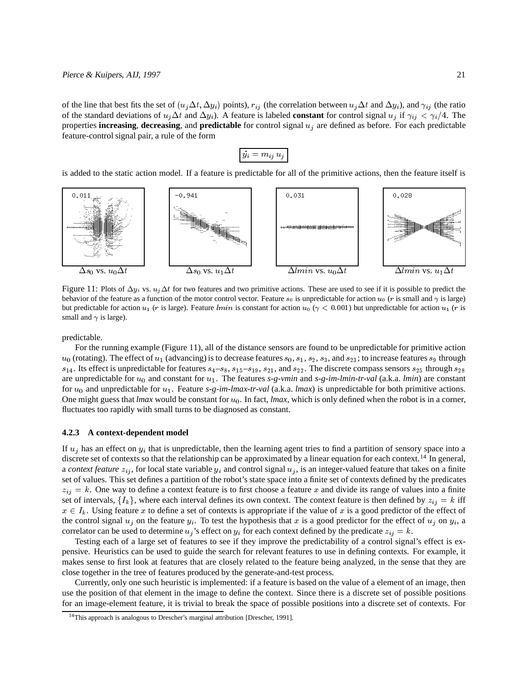of the line that best fits the set of  $(u_j \Delta t, \Delta y_i)$  points),  $r_{ij}$  (the correlation between  $u_j \Delta t$  and  $\Delta y_i$ ), and  $\gamma_{ij}$  (the ratio of the standard deviations of  $u_i \Delta t$  and  $\Delta y_i$ ). A feature is labeled **constant** for control signal  $u_i$  if  $\gamma_{ii} < \gamma_i/4$ . The properties **increasing**, **decreasing**, and **predictable** for control signal  $u_i$  are defined as before. For each predictable feature-control signal pair, a rule of the form

$$
\boxed{\dot{y}_i = m_{ij} \, u_j}
$$

is added to the static action model. If a feature is predictable for all of the primitive actions, then the feature itself is



Figure 11: Plots of  $\Delta y_i$  vs.  $u_j \Delta t$  for two features and two primitive actions. These are used to see if it is possible to predict the behavior of the feature as a function of the motor control vector. Feature  $s_0$  is unpredictable for action  $u_0$  (r is small and  $\gamma$  is large) but predictable for action  $u_1$  (r is large). Feature lmin is constant for action  $u_0$  ( $\gamma$  < 0.001) but unpredictable for action  $u_1$  (r is small and  $\gamma$  is large).

predictable.

For the running example (Figure 11), all of the distance sensors are found to be unpredictable for primitive action  $u_0$  (rotating). The effect of  $u_1$  (advancing) is to decrease features  $s_0$ ,  $s_1$ ,  $s_2$ ,  $s_3$ , and  $s_2$ ; to increase features  $s_9$  through  $s_{14}$ . Its effect is unpredictable for features  $s_4-s_8$ ,  $s_{15}-s_{19}$ ,  $s_{21}$ , and  $s_{22}$ . The discrete compass sensors  $s_{25}$  through  $s_{28}$ are unpredictable for  $u_0$  and constant for  $u_1$ . The features *s-g-vmin* and *s-g-im-lmin-tr-val* (a.k.a. *lmin*) are constant for  $u_0$  and unpredictable for  $u_1$ . Feature *s-g-im-lmax-tr-val* (a.k.a. *lmax*) is unpredictable for both primitive actions. One might guess that *lmax* would be constant for  $u_0$ . In fact, *lmax*, which is only defined when the robot is in a corner, fluctuates too rapidly with small turns to be diagnosed as constant.

### **4.2.3 A context-dependent model**

If  $u_j$  has an effect on  $y_i$  that is unpredictable, then the learning agent tries to find a partition of sensory space into a discrete set of contexts so that the relationship can be approximated by a linear equation for each context.<sup>14</sup> In general, a *context feature*  $z_{ij}$ , for local state variable  $y_i$  and control signal  $u_j$ , is an integer-valued feature that takes on a finite set of values. This set defines a partition of the robot's state space into a finite set of contexts defined by the predicates  $z_{ij} = k$ . One way to define a context feature is to first choose a feature x and divide its range of values into a finite set of intervals,  $\{I_k\}$ , where each interval defines its own context. The context feature is then defined by  $z_{ij} = k$  iff  $x \in I_k$ . Using feature x to define a set of contexts is appropriate if the value of x is a good predictor of the effect of the control signal  $u_j$  on the feature  $y_i$ . To test the hypothesis that x is a good predictor for the effect of  $u_j$  on  $y_i$ , a correlator can be used to determine  $u_j$ 's effect on  $y_i$  for each context defined by the predicate  $z_{ij} = k$ .

Testing each of a large set of features to see if they improve the predictability of a control signal's effect is expensive. Heuristics can be used to guide the search for relevant features to use in defining contexts. For example, it makes sense to first look at features that are closely related to the feature being analyzed, in the sense that they are close together in the tree of features produced by the generate-and-test process.

Currently, only one such heuristic is implemented: if a feature is based on the value of a element of an image, then use the position of that element in the image to define the context. Since there is a discrete set of possible positions for an image-element feature, it is trivial to break the space of possible positions into a discrete set of contexts. For

<sup>&</sup>lt;sup>14</sup>This approach is analogous to Drescher's marginal attribution [Drescher, 1991].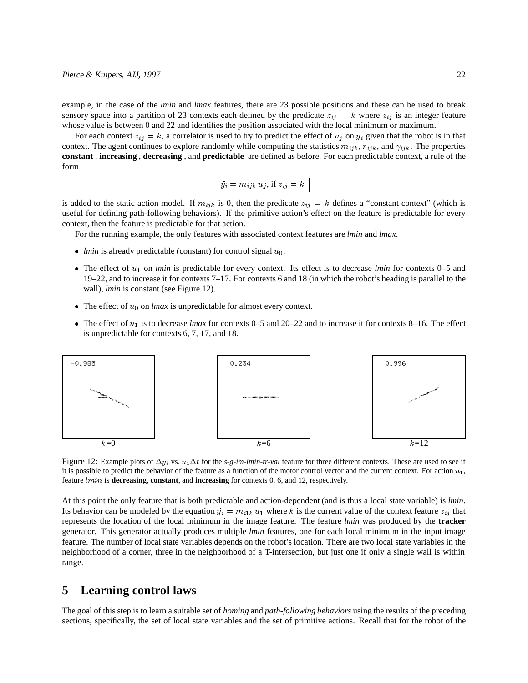example, in the case of the *lmin* and *lmax* features, there are 23 possible positions and these can be used to break sensory space into a partition of 23 contexts each defined by the predicate  $z_{ij} = k$  where  $z_{ij}$  is an integer feature whose value is between 0 and 22 and identifies the position associated with the local minimum or maximum.

For each context  $z_{ij} = k$ , a correlator is used to try to predict the effect of  $u_j$  on  $y_i$  given that the robot is in that context. The agent continues to explore randomly while computing the statistics  $m_{ijk}$ ,  $r_{ijk}$ , and  $\gamma_{ijk}$ . The properties **constant** , **increasing** , **decreasing** , and **predictable** are defined as before. For each predictable context, a rule of the form

$$
\dot{y}_i = m_{ijk} \, u_j, \, \text{if} \, z_{ij} = k
$$

is added to the static action model. If  $m_{ijk}$  is 0, then the predicate  $z_{ij} = k$  defines a "constant context" (which is useful for defining path-following behaviors). If the primitive action's effect on the feature is predictable for every context, then the feature is predictable for that action.

For the running example, the only features with associated context features are *lmin* and *lmax*.

- $\bullet$  *lmin* is already predictable (constant) for control signal  $u_0$ .
- The effect of  $u_1$  on *lmin* is predictable for every context. Its effect is to decrease *lmin* for contexts 0–5 and 19–22, and to increase it for contexts 7–17. For contexts 6 and 18 (in which the robot's heading is parallel to the wall), *lmin* is constant (see Figure 12).
- $\bullet$  The effect of  $u_0$  on *lmax* is unpredictable for almost every context.
- The effect of  $u_1$  is to decrease *lmax* for contexts 0–5 and 20–22 and to increase it for contexts 8–16. The effect is unpredictable for contexts 6, 7, 17, and 18.



Figure 12: Example plots of  $\Delta y_i$  vs.  $u_1 \Delta t$  for the *s-g-im-lmin-tr-val* feature for three different contexts. These are used to see if it is possible to predict the behavior of the feature as a function of the motor control vector and the current context. For action  $u_1$ , feature lmin is **decreasing**, **constant**, and **increasing** for contexts 0, 6, and 12, respectively.

At this point the only feature that is both predictable and action-dependent (and is thus a local state variable) is *lmin*. Its behavior can be modeled by the equation  $y_i = m_{i1k} u_1$  where k is the current value of the context feature  $z_{ij}$  that represents the location of the local minimum in the image feature. The feature *lmin* was produced by the **tracker** generator. This generator actually produces multiple *lmin* features, one for each local minimum in the input image feature. The number of local state variables depends on the robot's location. There are two local state variables in the neighborhood of a corner, three in the neighborhood of a T-intersection, but just one if only a single wall is within range.

# **5 Learning control laws**

The goal of this step is to learn a suitable set of *homing* and *path-following behaviors* using the results of the preceding sections, specifically, the set of local state variables and the set of primitive actions. Recall that for the robot of the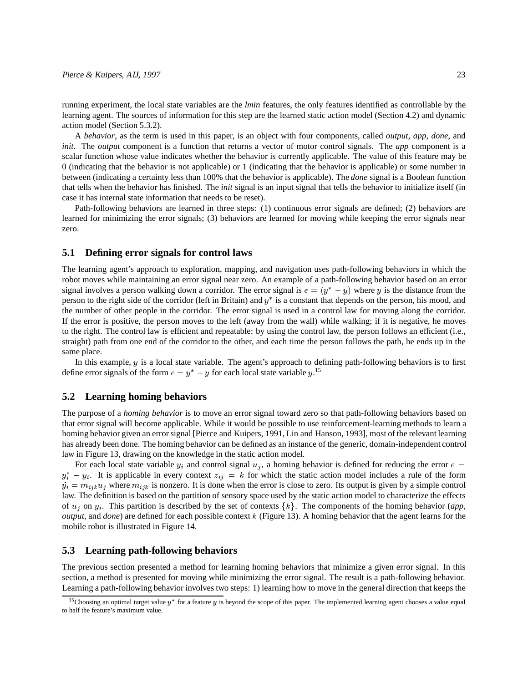running experiment, the local state variables are the *lmin* features, the only features identified as controllable by the learning agent. The sources of information for this step are the learned static action model (Section 4.2) and dynamic action model (Section 5.3.2).

A *behavior*, as the term is used in this paper, is an object with four components, called *output*, *app*, *done*, and *init*. The *output* component is a function that returns a vector of motor control signals. The *app* component is a scalar function whose value indicates whether the behavior is currently applicable. The value of this feature may be 0 (indicating that the behavior is not applicable) or 1 (indicating that the behavior is applicable) or some number in between (indicating a certainty less than 100% that the behavior is applicable). The *done* signal is a Boolean function that tells when the behavior has finished. The *init* signal is an input signal that tells the behavior to initialize itself (in case it has internal state information that needs to be reset).

Path-following behaviors are learned in three steps: (1) continuous error signals are defined; (2) behaviors are learned for minimizing the error signals; (3) behaviors are learned for moving while keeping the error signals near zero.

### **5.1 Defining error signals for control laws**

The learning agent's approach to exploration, mapping, and navigation uses path-following behaviors in which the robot moves while maintaining an error signal near zero. An example of a path-following behavior based on an error signal involves a person walking down a corridor. The error signal is  $e = (y^* - y)$  where y is the distance from the person to the right side of the corridor (left in Britain) and  $y^*$  is a constant that depends on the person, his mood, and the number of other people in the corridor. The error signal is used in a control law for moving along the corridor. If the error is positive, the person moves to the left (away from the wall) while walking; if it is negative, he moves to the right. The control law is efficient and repeatable: by using the control law, the person follows an efficient (i.e., straight) path from one end of the corridor to the other, and each time the person follows the path, he ends up in the same place.

In this example,  $y$  is a local state variable. The agent's approach to defining path-following behaviors is to first define error signals of the form  $e = y^* - y$  for each local state variable y.<sup>15</sup>

## **5.2 Learning homing behaviors**

The purpose of a *homing behavior* is to move an error signal toward zero so that path-following behaviors based on that error signal will become applicable. While it would be possible to use reinforcement-learning methods to learn a homing behavior given an error signal [Pierce and Kuipers, 1991, Lin and Hanson, 1993], most of the relevant learning has already been done. The homing behavior can be defined as an instance of the generic, domain-independent control law in Figure 13, drawing on the knowledge in the static action model.

For each local state variable  $y_i$  and control signal  $u_j$ , a homing behavior is defined for reducing the error  $e =$  $y_i^* - y_i$ . It is applicable in every context  $z_{ij} = k$  for which the static action model includes a rule of the form  $\dot{y}_i = m_{ijk}u_j$  where  $m_{ijk}$  is nonzero. It is done when the error is close to zero. Its output is given by a simple control law. The definition is based on the partition of sensory space used by the static action model to characterize the effects of  $u_j$  on  $y_i$ . This partition is described by the set of contexts  $\{k\}$ . The components of the homing behavior (*app*, *output*, and *done*) are defined for each possible context k (Figure 13). A homing behavior that the agent learns for the mobile robot is illustrated in Figure 14.

### **5.3 Learning path-following behaviors**

The previous section presented a method for learning homing behaviors that minimize a given error signal. In this section, a method is presented for moving while minimizing the error signal. The result is a path-following behavior. Learning a path-following behavior involves two steps: 1) learning how to move in the general direction that keeps the

<sup>&</sup>lt;sup>15</sup>Choosing an optimal target value  $y^*$  for a feature y is beyond the scope of this paper. The implemented learning agent chooses a value equal to half the feature's maximum value.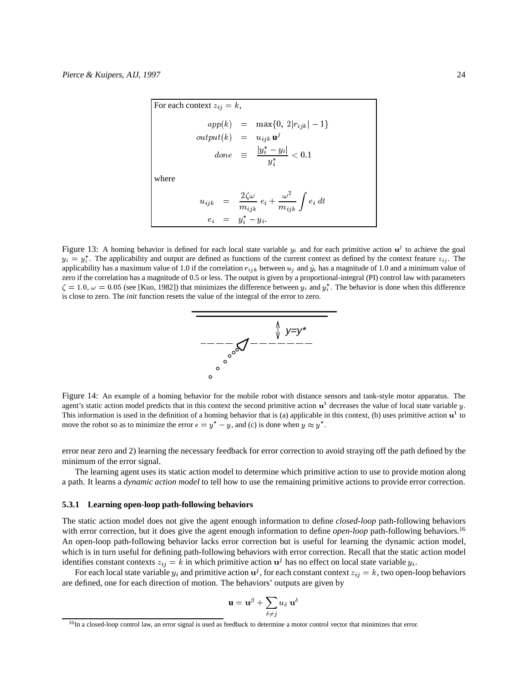For each context 
$$
z_{ij} = k
$$
,  
\n $app(k) = \max\{0, 2|r_{ijk}| - 1\}$   
\n $output(k) = u_{ijk} \mathbf{u}^j$   
\n $done \equiv \frac{|y_i^* - y_i|}{y_i^*} < 0.1$   
\nwhere  
\n $u_{ijk} = \frac{2\zeta\omega}{m_{ijk}} e_i + \frac{\omega^2}{m_{ijk}} \int e_i dt$   
\n $e_i = y_i^* - y_i$ .

Figure 13: A homing behavior is defined for each local state variable  $y_i$  and for each primitive action  $\mathbf{u}^j$  to achieve the goal  $y_i = y_i^*$ . The applicability and output are defined as functions of the current context as defined by the context feature  $z_{ij}$ . The applicability has a maximum value of 1.0 if the correlation  $r_{ijk}$  between  $u_i$  and  $y_i$  has a magnitude of 1.0 and a minimum value of zero if the correlation has a magnitude of 0.5 or less. The output is given by a proportional-integral (PI) control law with parameters  $\zeta = 1.0, \omega = 0.05$  (see [Kuo, 1982]) that minimizes the difference between  $y_i$  and  $y_i^*$ . The behavior is done when this difference is close to zero. The *init* function resets the value of the integral of the error to zero.



Figure 14: An example of a homing behavior for the mobile robot with distance sensors and tank-style motor apparatus. The agent's static action model predicts that in this context the second primitive action  $\mathbf{u}^1$  decreases the value of local state variable y. This information is used in the definition of a homing behavior that is (a) applicable in this context, (b) uses primitive action  $\mathbf{u}^1$  to move the robot so as to minimize the error  $e = y^* - y$ , and (c) is done when  $y \approx y^*$ .

error near zero and 2) learning the necessary feedback for error correction to avoid straying off the path defined by the minimum of the error signal.

The learning agent uses its static action model to determine which primitive action to use to provide motion along a path. It learns a *dynamic action model* to tell how to use the remaining primitive actions to provide error correction.

#### **5.3.1 Learning open-loop path-following behaviors**

The static action model does not give the agent enough information to define *closed-loop* path-following behaviors with error correction, but it does give the agent enough information to define *open-loop* path-following behaviors.<sup>16</sup> An open-loop path-following behavior lacks error correction but is useful for learning the dynamic action model, which is in turn useful for defining path-following behaviors with error correction. Recall that the static action model identifies constant contexts  $z_{ij} = k$  in which primitive action  $\mathbf{u}^j$  has no effect on local state variable  $y_i$ .

For each local state variable  $y_i$  and primitive action  $\mathbf{u}^j$ , for each constant context  $z_{ij} = k$ , two open-loop behaviors are defined, one for each direction of motion. The behaviors' outputs are given by

$$
\mathbf{u} = \mathbf{u}^\beta + \sum_{\delta \neq j} u_\delta \, \mathbf{u}^\delta
$$

<sup>&</sup>lt;sup>16</sup>In a closed-loop control law, an error signal is used as feedback to determine a motor control vector that minimizes that error.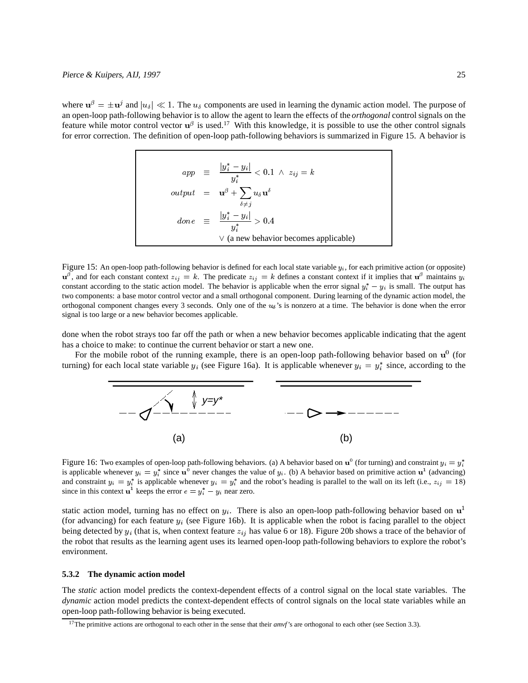where  $u^{\beta} = \pm u^j$  and  $|u_{\delta}| \ll 1$ . The  $u_{\delta}$  components are used in learning the dynamic action model. The purpose of an open-loop path-following behavior is to allow the agent to learn the effects of the *orthogonal* control signals on the feature while motor control vector  $u^{\beta}$  is used.<sup>17</sup> With this knowledge, it is possible to use the other control signals for error correction. The definition of open-loop path-following behaviors is summarized in Figure 15. A behavior is

$$
app \equiv \frac{|y_i^* - y_i|}{y_i^*} < 0.1 \ \land \ z_{ij} = k
$$
  
\n
$$
output \equiv \mathbf{u}^{\beta} + \sum_{\delta \neq j} u_{\delta} \mathbf{u}^{\delta}
$$
  
\n
$$
done \equiv \frac{|y_i^* - y_i|}{y_i^*} > 0.4
$$
  
\n
$$
\lor \text{(a new behavior becomes applicable)}
$$

Figure 15: An open-loop path-following behavior is defined for each local state variable  $y_i$ , for each primitive action (or opposite)  $\mathbf{u}^{\beta}$ , and for each constant context  $z_{ij} = k$ . The predicate  $z_{ij} = k$  defines a constant context if it implies that  $\mathbf{u}^{\beta}$  maintains  $y_i$ constant according to the static action model. The behavior is applicable when the error signal  $y_i^* - y_i$  is small. The output has two components: a base motor control vector and a small orthogonal component. During learning of the dynamic action model, the orthogonal component changes every 3 seconds. Only one of the  $u_{\delta}$ 's is nonzero at a time. The behavior is done when the error signal is too large or a new behavior becomes applicable.

done when the robot strays too far off the path or when a new behavior becomes applicable indicating that the agent has a choice to make: to continue the current behavior or start a new one.

For the mobile robot of the running example, there is an open-loop path-following behavior based on  $\mathbf{u}^0$  (for turning) for each local state variable  $y_i$  (see Figure 16a). It is applicable whenever  $y_i = y_i^*$  since, according to the

in the company of the company of the company of the company of the company of the company of the company of the



Figure 16: Two examples of open-loop path-following behaviors. (a) A behavior based on  $\mathbf{u}^0$  (for turning) and constraint  $y_i = y_i^*$ is applicable whenever  $y_i = y_i^*$  since  $\mathbf{u}^0$  never changes the value of  $y_i$ . (b) A behavior based on primitive action  $\mathbf{u}^1$  (advancing) and constraint  $y_i = y_i^*$  is applicable whenever  $y_i = y_i^*$  and the robot's heading is parallel to the wall on its left (i.e.,  $z_{ij} = 18$ ) since in this context  $\mathbf{u}^1$  keeps the error  $e = y_i^* - y_i$  near zero.

static action model, turning has no effect on  $y_i$ . There is also an open-loop path-following behavior based on  $\mathbf{u}^1$ (for advancing) for each feature  $y_i$  (see Figure 16b). It is applicable when the robot is facing parallel to the object being detected by  $y_i$  (that is, when context feature  $z_{ij}$  has value 6 or 18). Figure 20b shows a trace of the behavior of the robot that results as the learning agent uses its learned open-loop path-following behaviors to explore the robot's environment.

### **5.3.2 The dynamic action model**

The *static* action model predicts the context-dependent effects of a control signal on the local state variables. The *dynamic* action model predicts the context-dependent effects of control signals on the local state variables while an open-loop path-following behavior is being executed.

<sup>&</sup>lt;sup>17</sup>The primitive actions are orthogonal to each other in the sense that their *amvf*'s are orthogonal to each other (see Section 3.3).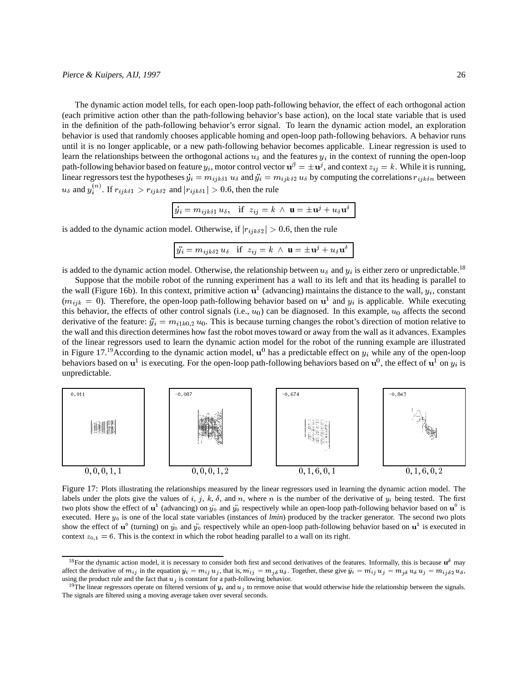The dynamic action model tells, for each open-loop path-following behavior, the effect of each orthogonal action (each primitive action other than the path-following behavior's base action), on the local state variable that is used in the definition of the path-following behavior's error signal. To learn the dynamic action model, an exploration behavior is used that randomly chooses applicable homing and open-loop path-following behaviors. A behavior runs until it is no longer applicable, or a new path-following behavior becomes applicable. Linear regression is used to learn the relationships between the orthogonal actions  $u_{\delta}$  and the features  $y_i$  in the context of running the open-loop path-following behavior based on feature  $y_i$ , motor control vector  $\mathbf{u}^\beta = \pm \mathbf{u}^j$ , and context  $z_{ij} = k$ . While it is running, linear regressors test the hypotheses  $\dot{y}_i = m_{ijk\delta 1} u_\delta$  and  $\dot{y}_i = m_{ijk\delta 2} u_\delta$  by computing the correlations  $r_{ijk\delta n}$  between  $u_{\delta}$  and  $y_i^{(n)}$ . If  $r_{ijk\delta 1} > r_{ijk\delta 2}$  and  $|r_{ijk\delta 1}| > 0.6$ , then the rule

$$
\dot{y}_i = m_{ijk\delta 1} u_\delta
$$
, if  $z_{ij} = k \wedge \mathbf{u} = \pm \mathbf{u}^j + u_\delta \mathbf{u}^\delta$ 

is added to the dynamic action model. Otherwise, if  $|r_{iik\delta2}| > 0.6$ , then the rule

$$
\dot{y}_i = m_{ijk\delta 2} u_\delta
$$
 if  $z_{ij} = k \wedge \mathbf{u} = \pm \mathbf{u}^j + u_\delta \mathbf{u}^\delta$ 

is added to the dynamic action model. Otherwise, the relationship between  $u_{\delta}$  and  $y_i$  is either zero or unpredictable.<sup>18</sup>

Suppose that the mobile robot of the running experiment has a wall to its left and that its heading is parallel to the wall (Figure 16b). In this context, primitive action  $\mathbf{u}^1$  (advancing) maintains the distance to the wall,  $y_i$ , constant  $(m_{ijk} = 0)$ . Therefore, the open-loop path-following behavior based on  $u^1$  and  $y_i$  is applicable. While executing this behavior, the effects of other control signals (i.e.,  $u_0$ ) can be diagnosed. In this example,  $u_0$  affects the second derivative of the feature:  $\ddot{y}_i = m_{i1k0,2} u_0$ . This is because turning changes the robot's direction of motion relative to the wall and this direction determines how fast the robot moves toward or away from the wall as it advances. Examples of the linear regressors used to learn the dynamic action model for the robot of the running example are illustrated in Figure 17.<sup>19</sup> According to the dynamic action model,  $\mathbf{u}^0$  has a predictable effect on  $y_i$  while any of the open-loop behaviors based on  $u^1$  is executing. For the open-loop path-following behaviors based on  $u^0$ , the effect of  $u^1$  on  $y_i$  is unpredictable.



Figure 17: Plots illustrating the relationships measured by the linear regressors used in learning the dynamic action model. The labels under the plots give the values of i, j, k,  $\delta$ , and n, where n is the number of the derivative of  $y_i$  being tested. The first two plots show the effect of  $\mathbf{u}^1$  (advancing) on  $y_0$  and  $y_0$  respectively while an open-loop path-following behavior based on  $\mathbf{u}^0$  is executed. Here  $y_0$  is one of the local state variables (instances of *lmin*) produced by the tracker generator. The second two plots show the effect of  $\mathbf{u}^0$  (turning) on  $y_0$  and  $y_0$  respectively while an open-loop path-following behavior based on  $\mathbf{u}^1$  is executed in context  $z_{0,1} = 6$ . This is the context in which the robot heading parallel to a wall on its right.

<sup>&</sup>lt;sup>18</sup>For the dynamic action model, it is necessary to consider both first and second derivatives of the features. Informally, this is because  $\mathbf{u}^{\delta}$  may affect the derivative of  $m_{ij}$  in the equation  $y_i = m_{ij} u_j$ , that is,  $m_{ij} = m_{ij} u_s$ . Together, these give  $\ddot{y_i} = m_{ij} u_j = m_{ij} u_s u_s$   $u_i = m_{ij} u_j u_s$ using the product rule and the fact that  $u_j$  is constant for a path-following behavior.

<sup>&</sup>lt;sup>19</sup>The linear regressors operate on filtered versions of  $y_i$  and  $u_j$  to remove noise that would otherwise hide the relationship between the signals. The signals are filtered using a moving average taken over several seconds.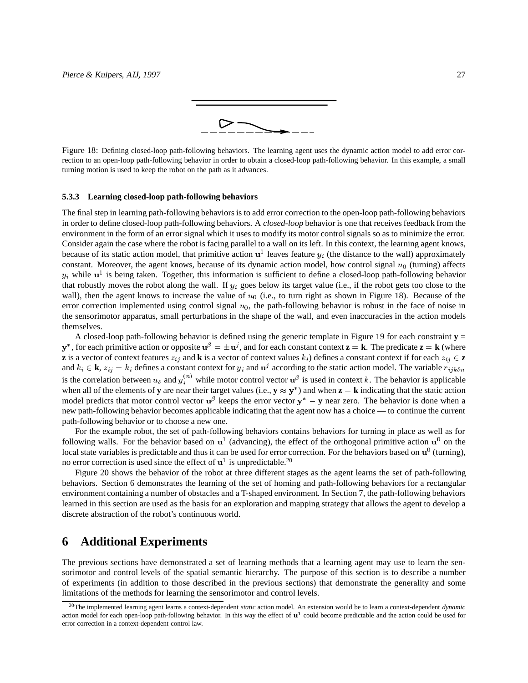

Figure 18: Defining closed-loop path-following behaviors. The learning agent uses the dynamic action model to add error correction to an open-loop path-following behavior in order to obtain a closed-loop path-following behavior. In this example, a small turning motion is used to keep the robot on the path as it advances.

### **5.3.3 Learning closed-loop path-following behaviors**

The final step in learning path-following behaviors is to add error correction to the open-loop path-following behaviors in order to define closed-loop path-following behaviors. A *closed-loop* behavior is one that receives feedback from the environment in the form of an error signal which it uses to modify its motor control signals so as to minimize the error. Consider again the case where the robot is facing parallel to a wall on its left. In this context, the learning agent knows, because of its static action model, that primitive action  $\mathbf{u}^1$  leaves feature  $y_i$  (the distance to the wall) approximately constant. Moreover, the agent knows, because of its dynamic action model, how control signal  $u_0$  (turning) affects  $y_i$  while  $\mathbf{u}^1$  is being taken. Together, this information is sufficient to define a closed-loop path-following behavior that robustly moves the robot along the wall. If  $y_i$  goes below its target value (i.e., if the robot gets too close to the wall), then the agent knows to increase the value of  $u_0$  (i.e., to turn right as shown in Figure 18). Because of the error correction implemented using control signal  $u_0$ , the path-following behavior is robust in the face of noise in the sensorimotor apparatus, small perturbations in the shape of the wall, and even inaccuracies in the action models themselves.

A closed-loop path-following behavior is defined using the generic template in Figure 19 for each constraint **y** =  $y^*$ , for each primitive action or opposite  $u^{\beta} = \pm u^j$ , and for each constant context  $z = k$ . The predicate  $z = k$  (where **z** is a vector of context features  $z_{ij}$  and **k** is a vector of context values  $k_i$ ) defines a constant context if for each  $z_{ij} \in \mathbf{z}$ and  $k_i \in \mathbf{k}$ ,  $z_{ij} = k_i$  defines a constant context for  $y_i$  and  $\mathbf{u}^j$  according to the static action model. The variable  $r_{ijk\delta n}$ is the correlation between  $u_{\delta}$  and  $y_i^{(n)}$  while motor control vector  $\mathbf{u}^{\beta}$  is used in context k. The behavior is applicable when all of the elements of **y** are near their target values (i.e.,  $y \approx y^*$ ) and when  $z = k$  indicating that the static action model predicts that motor control vector  $u^{\beta}$  keeps the error vector  $y^* - y$  near zero. The behavior is done when a new path-following behavior becomes applicable indicating that the agent now has a choice — to continue the current path-following behavior or to choose a new one.

For the example robot, the set of path-following behaviors contains behaviors for turning in place as well as for following walls. For the behavior based on  $\mathbf{u}^1$  (advancing), the effect of the orthogonal primitive action  $\mathbf{u}^0$  on the local state variables is predictable and thus it can be used for error correction. For the behaviors based on  $\mathbf{u}^0$  (turning), no error correction is used since the effect of  $\mathbf{u}^1$  is unpredictable.<sup>20</sup>

Figure 20 shows the behavior of the robot at three different stages as the agent learns the set of path-following behaviors. Section 6 demonstrates the learning of the set of homing and path-following behaviors for a rectangular environment containing a number of obstacles and a T-shaped environment. In Section 7, the path-following behaviors learned in this section are used as the basis for an exploration and mapping strategy that allows the agent to develop a discrete abstraction of the robot's continuous world.

# **6 Additional Experiments**

The previous sections have demonstrated a set of learning methods that a learning agent may use to learn the sensorimotor and control levels of the spatial semantic hierarchy. The purpose of this section is to describe a number of experiments (in addition to those described in the previous sections) that demonstrate the generality and some limitations of the methods for learning the sensorimotor and control levels.

<sup>20</sup>The implemented learning agent learns a context-dependent *static* action model. An extension would be to learn a context-dependent *dynamic* action model for each open-loop path-following behavior. In this way the effect of  $\mathbf{u}^1$  could become predictable and the action could be used for error correction in a context-dependent control law.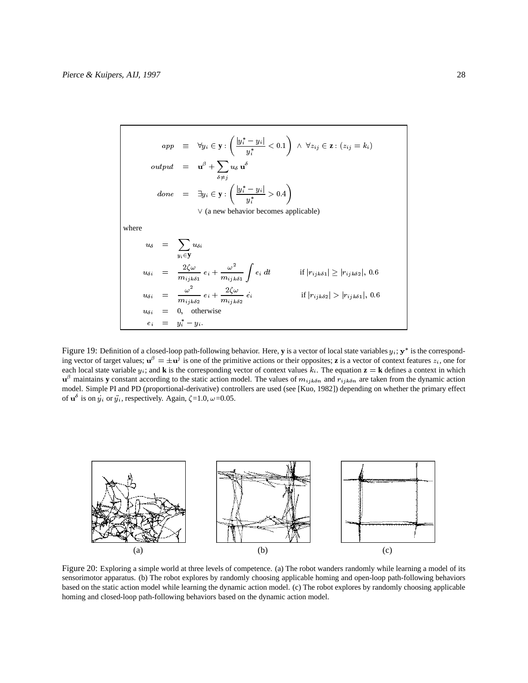$$
app \equiv \forall y_i \in \mathbf{y} : \left(\frac{|y_i^* - y_i|}{y_i^*} < 0.1\right) \land \forall z_{ij} \in \mathbf{z} : (z_{ij} = k_i)
$$
  
\n
$$
output \ = \ \mathbf{u}^\beta + \sum_{\delta \neq j} u_\delta \, \mathbf{u}^\delta
$$
  
\n
$$
done \ = \ \exists y_i \in \mathbf{y} : \left(\frac{|y_i^* - y_i|}{y_i^*} > 0.4\right)
$$
  
\n
$$
\lor \text{ (a new behavior becomes applicable)}
$$
  
\nwhere  
\n
$$
u_\delta \ = \ \sum_{y_i \in \mathbf{y}} u_{\delta i}
$$
  
\n
$$
u_{\delta i} \ = \ \frac{2\zeta\omega}{m_{ijk\delta 1}} e_i + \frac{\omega^2}{m_{ijk\delta 1}} \int e_i \, dt \qquad \text{ if } |r_{ijk\delta 1}| \ge |r_{ijk\delta 2}|, \ 0.6
$$
  
\n
$$
u_{\delta i} \ = \ \frac{\omega^2}{m_{ijk\delta 2}} e_i + \frac{2\zeta\omega}{m_{ijk\delta 2}} e_i \qquad \text{ if } |r_{ijk\delta 2}| > |r_{ijk\delta 1}|, \ 0.6
$$
  
\n
$$
u_{\delta i} \ = \ 0, \ \text{ otherwise}
$$
  
\n
$$
e_i \ = \ y_i^* - y_i.
$$

Figure 19: Definition of a closed-loop path-following behavior. Here, **y** is a vector of local state variables  $y_i$ ; **y**<sup>\*</sup> is the corresponding vector of target values;  $\mathbf{u}^{\beta} = \pm \mathbf{u}^{\beta}$  is one of the primitive actions or their opposites; **z** is a vector of context features  $z_i$ , one for each local state variable  $y_i$ ; and **k** is the corresponding vector of context values  $k_i$ . The equation  $z = k$  defines a context in which  $\mathbf{u}^{\beta}$  maintains **y** constant according to the static action model. The values of  $m_{ijk\delta n}$  and  $r_{ijk\delta n}$  are taken from the dynamic action model. Simple PI and PD (proportional-derivative) controllers are used (see [Kuo, 1982]) depending on whether the primary effect of  $\mathbf{u}^{\delta}$  is on  $\dot{y}_i$  or  $\ddot{y}_i$ , respectively. Again,  $\zeta$ =1.0,  $\omega$ =0.05.



Figure 20: Exploring a simple world at three levels of competence. (a) The robot wanders randomly while learning a model of its sensorimotor apparatus. (b) The robot explores by randomly choosing applicable homing and open-loop path-following behaviors based on the static action model while learning the dynamic action model. (c) The robot explores by randomly choosing applicable homing and closed-loop path-following behaviors based on the dynamic action model.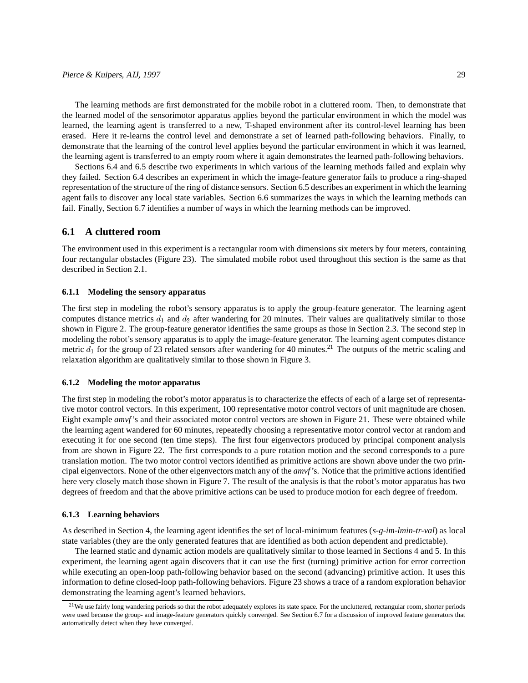The learning methods are first demonstrated for the mobile robot in a cluttered room. Then, to demonstrate that the learned model of the sensorimotor apparatus applies beyond the particular environment in which the model was learned, the learning agent is transferred to a new, T-shaped environment after its control-level learning has been erased. Here it re-learns the control level and demonstrate a set of learned path-following behaviors. Finally, to demonstrate that the learning of the control level applies beyond the particular environment in which it was learned, the learning agent is transferred to an empty room where it again demonstrates the learned path-following behaviors.

Sections 6.4 and 6.5 describe two experiments in which various of the learning methods failed and explain why they failed. Section 6.4 describes an experiment in which the image-feature generator fails to produce a ring-shaped representation of the structure of the ring of distance sensors. Section 6.5 describes an experiment in which the learning agent fails to discover any local state variables. Section 6.6 summarizes the ways in which the learning methods can fail. Finally, Section 6.7 identifies a number of ways in which the learning methods can be improved.

# **6.1 A cluttered room**

The environment used in this experiment is a rectangular room with dimensions six meters by four meters, containing four rectangular obstacles (Figure 23). The simulated mobile robot used throughout this section is the same as that described in Section 2.1.

### **6.1.1 Modeling the sensory apparatus**

The first step in modeling the robot's sensory apparatus is to apply the group-feature generator. The learning agent computes distance metrics  $d_1$  and  $d_2$  after wandering for 20 minutes. Their values are qualitatively similar to those shown in Figure 2. The group-feature generator identifies the same groups as those in Section 2.3. The second step in modeling the robot's sensory apparatus is to apply the image-feature generator. The learning agent computes distance metric  $d_1$  for the group of 23 related sensors after wandering for 40 minutes.<sup>21</sup> The outputs of the metric scaling and relaxation algorithm are qualitatively similar to those shown in Figure 3.

### **6.1.2 Modeling the motor apparatus**

The first step in modeling the robot's motor apparatus is to characterize the effects of each of a large set of representative motor control vectors. In this experiment, 100 representative motor control vectors of unit magnitude are chosen. Eight example *amvf*'s and their associated motor control vectors are shown in Figure 21. These were obtained while the learning agent wandered for 60 minutes, repeatedly choosing a representative motor control vector at random and executing it for one second (ten time steps). The first four eigenvectors produced by principal component analysis from are shown in Figure 22. The first corresponds to a pure rotation motion and the second corresponds to a pure translation motion. The two motor control vectors identified as primitive actions are shown above under the two principal eigenvectors. None of the other eigenvectors match any of the *amvf*'s. Notice that the primitive actions identified here very closely match those shown in Figure 7. The result of the analysis is that the robot's motor apparatus has two degrees of freedom and that the above primitive actions can be used to produce motion for each degree of freedom.

### **6.1.3 Learning behaviors**

As described in Section 4, the learning agent identifies the set of local-minimum features (*s-g-im-lmin-tr-val*) as local state variables (they are the only generated features that are identified as both action dependent and predictable).

The learned static and dynamic action models are qualitatively similar to those learned in Sections 4 and 5. In this experiment, the learning agent again discovers that it can use the first (turning) primitive action for error correction while executing an open-loop path-following behavior based on the second (advancing) primitive action. It uses this information to define closed-loop path-following behaviors. Figure 23 shows a trace of a random exploration behavior demonstrating the learning agent's learned behaviors.

<sup>&</sup>lt;sup>21</sup>We use fairly long wandering periods so that the robot adequately explores its state space. For the uncluttered, rectangular room, shorter periods were used because the group- and image-feature generators quickly converged. See Section 6.7 for a discussion of improved feature generators that automatically detect when they have converged.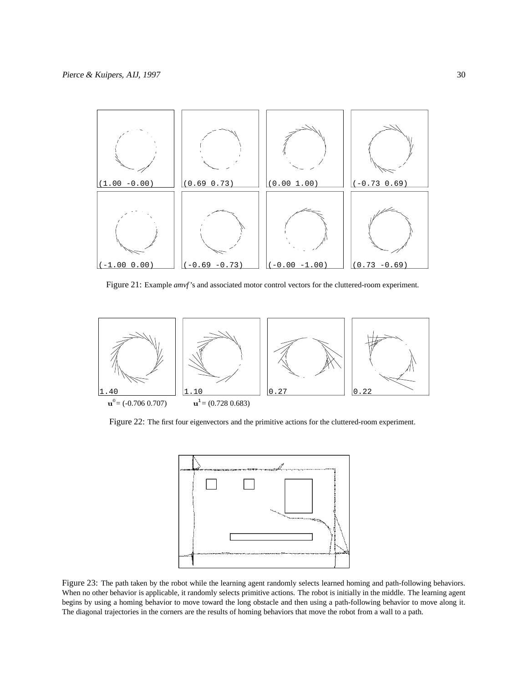

Figure 21: Example *amvf*'s and associated motor control vectors for the cluttered-room experiment.



Figure 22: The first four eigenvectors and the primitive actions for the cluttered-room experiment.



Figure 23: The path taken by the robot while the learning agent randomly selects learned homing and path-following behaviors. When no other behavior is applicable, it randomly selects primitive actions. The robot is initially in the middle. The learning agent begins by using a homing behavior to move toward the long obstacle and then using a path-following behavior to move along it. The diagonal trajectories in the corners are the results of homing behaviors that move the robot from a wall to a path.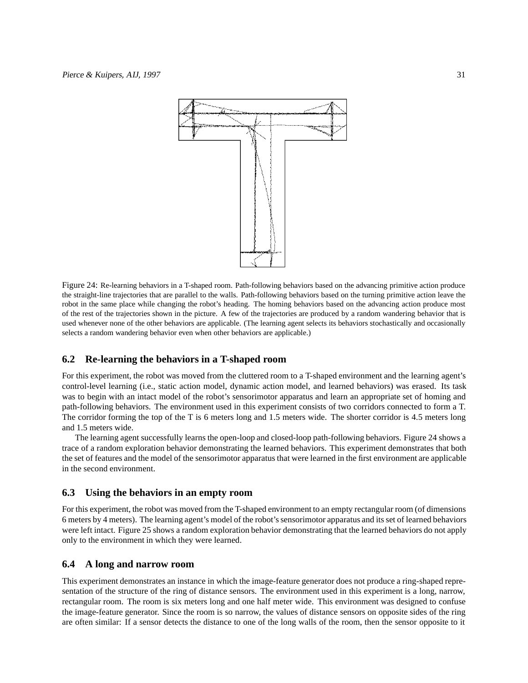

Figure 24: Re-learning behaviors in a T-shaped room. Path-following behaviors based on the advancing primitive action produce the straight-line trajectories that are parallel to the walls. Path-following behaviors based on the turning primitive action leave the robot in the same place while changing the robot's heading. The homing behaviors based on the advancing action produce most of the rest of the trajectories shown in the picture. A few of the trajectories are produced by a random wandering behavior that is used whenever none of the other behaviors are applicable. (The learning agent selects its behaviors stochastically and occasionally selects a random wandering behavior even when other behaviors are applicable.)

## **6.2 Re-learning the behaviors in a T-shaped room**

For this experiment, the robot was moved from the cluttered room to a T-shaped environment and the learning agent's control-level learning (i.e., static action model, dynamic action model, and learned behaviors) was erased. Its task was to begin with an intact model of the robot's sensorimotor apparatus and learn an appropriate set of homing and path-following behaviors. The environment used in this experiment consists of two corridors connected to form a T. The corridor forming the top of the T is 6 meters long and 1.5 meters wide. The shorter corridor is 4.5 meters long and 1.5 meters wide.

The learning agent successfully learns the open-loop and closed-loop path-following behaviors. Figure 24 shows a trace of a random exploration behavior demonstrating the learned behaviors. This experiment demonstrates that both the set of features and the model of the sensorimotor apparatus that were learned in the first environment are applicable in the second environment.

# **6.3 Using the behaviors in an empty room**

For this experiment, the robot was moved from the T-shaped environment to an empty rectangular room (of dimensions 6 meters by 4 meters). The learning agent's model of the robot's sensorimotor apparatus and its set of learned behaviors were left intact. Figure 25 shows a random exploration behavior demonstrating that the learned behaviors do not apply only to the environment in which they were learned.

# **6.4 A long and narrow room**

This experiment demonstrates an instance in which the image-feature generator does not produce a ring-shaped representation of the structure of the ring of distance sensors. The environment used in this experiment is a long, narrow, rectangular room. The room is six meters long and one half meter wide. This environment was designed to confuse the image-feature generator. Since the room is so narrow, the values of distance sensors on opposite sides of the ring are often similar: If a sensor detects the distance to one of the long walls of the room, then the sensor opposite to it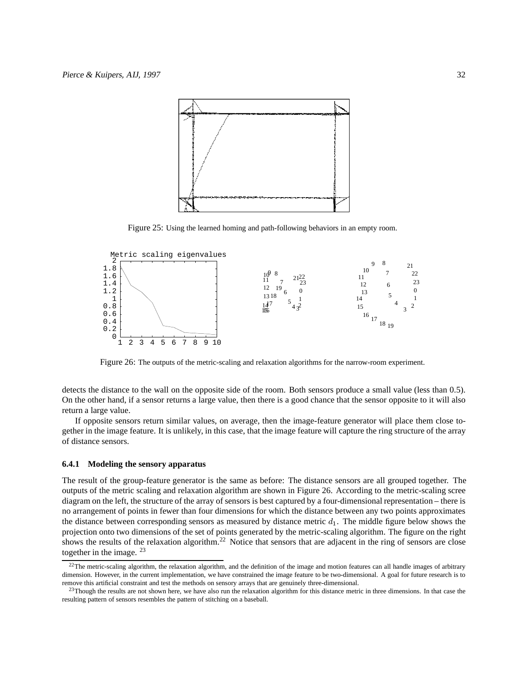

Figure 25: Using the learned homing and path-following behaviors in an empty room.



Figure 26: The outputs of the metric-scaling and relaxation algorithms for the narrow-room experiment.

detects the distance to the wall on the opposite side of the room. Both sensors produce a small value (less than 0.5). On the other hand, if a sensor returns a large value, then there is a good chance that the sensor opposite to it will also return a large value.

If opposite sensors return similar values, on average, then the image-feature generator will place them close together in the image feature. It is unlikely, in this case, that the image feature will capture the ring structure of the array of distance sensors.

#### **6.4.1 Modeling the sensory apparatus**

The result of the group-feature generator is the same as before: The distance sensors are all grouped together. The outputs of the metric scaling and relaxation algorithm are shown in Figure 26. According to the metric-scaling scree diagram on the left, the structure of the array of sensors is best captured by a four-dimensional representation – there is no arrangement of points in fewer than four dimensions for which the distance between any two points approximates the distance between corresponding sensors as measured by distance metric  $d_1$ . The middle figure below shows the projection onto two dimensions of the set of points generated by the metric-scaling algorithm. The figure on the right shows the results of the relaxation algorithm.<sup>22</sup> Notice that sensors that are adjacent in the ring of sensors are close together in the image.  $23$ 

<sup>&</sup>lt;sup>22</sup>The metric-scaling algorithm, the relaxation algorithm, and the definition of the image and motion features can all handle images of arbitrary dimension. However, in the current implementation, we have constrained the image feature to be two-dimensional. A goal for future research is to remove this artificial constraint and test the methods on sensory arrays that are genuinely three-dimensional.

<sup>&</sup>lt;sup>23</sup>Though the results are not shown here, we have also run the relaxation algorithm for this distance metric in three dimensions. In that case the resulting pattern of sensors resembles the pattern of stitching on a baseball.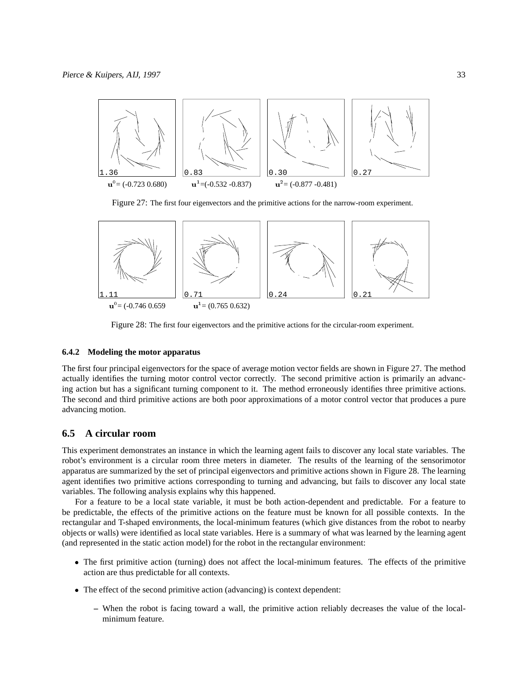

Figure 27: The first four eigenvectors and the primitive actions for the narrow-room experiment.



Figure 28: The first four eigenvectors and the primitive actions for the circular-room experiment.

### **6.4.2 Modeling the motor apparatus**

The first four principal eigenvectors for the space of average motion vector fields are shown in Figure 27. The method actually identifies the turning motor control vector correctly. The second primitive action is primarily an advancing action but has a significant turning component to it. The method erroneously identifies three primitive actions. The second and third primitive actions are both poor approximations of a motor control vector that produces a pure advancing motion.

## **6.5 A circular room**

This experiment demonstrates an instance in which the learning agent fails to discover any local state variables. The robot's environment is a circular room three meters in diameter. The results of the learning of the sensorimotor apparatus are summarized by the set of principal eigenvectors and primitive actions shown in Figure 28. The learning agent identifies two primitive actions corresponding to turning and advancing, but fails to discover any local state variables. The following analysis explains why this happened.

For a feature to be a local state variable, it must be both action-dependent and predictable. For a feature to be predictable, the effects of the primitive actions on the feature must be known for all possible contexts. In the rectangular and T-shaped environments, the local-minimum features (which give distances from the robot to nearby objects or walls) were identified as local state variables. Here is a summary of what was learned by the learning agent (and represented in the static action model) for the robot in the rectangular environment:

- The first primitive action (turning) does not affect the local-minimum features. The effects of the primitive action are thus predictable for all contexts.
- The effect of the second primitive action (advancing) is context dependent:
	- **–** When the robot is facing toward a wall, the primitive action reliably decreases the value of the localminimum feature.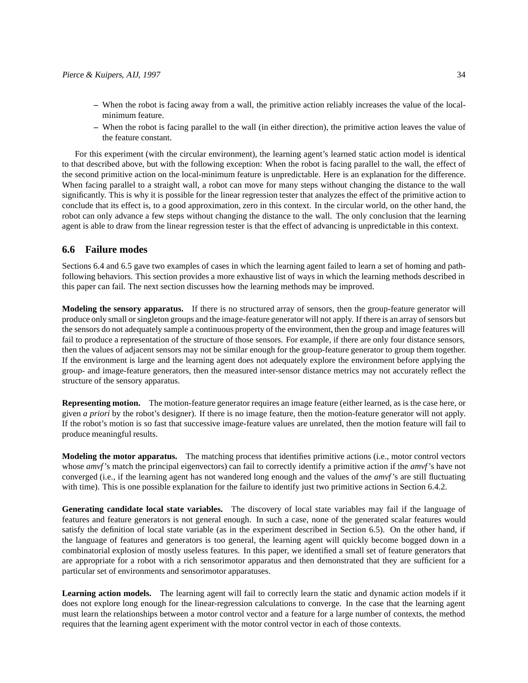- **–** When the robot is facing away from a wall, the primitive action reliably increases the value of the localminimum feature.
- **–** When the robot is facing parallel to the wall (in either direction), the primitive action leaves the value of the feature constant.

For this experiment (with the circular environment), the learning agent's learned static action model is identical to that described above, but with the following exception: When the robot is facing parallel to the wall, the effect of the second primitive action on the local-minimum feature is unpredictable. Here is an explanation for the difference. When facing parallel to a straight wall, a robot can move for many steps without changing the distance to the wall significantly. This is why it is possible for the linear regression tester that analyzes the effect of the primitive action to conclude that its effect is, to a good approximation, zero in this context. In the circular world, on the other hand, the robot can only advance a few steps without changing the distance to the wall. The only conclusion that the learning agent is able to draw from the linear regression tester is that the effect of advancing is unpredictable in this context.

# **6.6 Failure modes**

Sections 6.4 and 6.5 gave two examples of cases in which the learning agent failed to learn a set of homing and pathfollowing behaviors. This section provides a more exhaustive list of ways in which the learning methods described in this paper can fail. The next section discusses how the learning methods may be improved.

**Modeling the sensory apparatus.** If there is no structured array of sensors, then the group-feature generator will produce only small or singleton groups and the image-feature generator will not apply. If there is an array of sensors but the sensors do not adequately sample a continuous property of the environment, then the group and image features will fail to produce a representation of the structure of those sensors. For example, if there are only four distance sensors, then the values of adjacent sensors may not be similar enough for the group-feature generator to group them together. If the environment is large and the learning agent does not adequately explore the environment before applying the group- and image-feature generators, then the measured inter-sensor distance metrics may not accurately reflect the structure of the sensory apparatus.

**Representing motion.** The motion-feature generator requires an image feature (either learned, as is the case here, or given *a priori* by the robot's designer). If there is no image feature, then the motion-feature generator will not apply. If the robot's motion is so fast that successive image-feature values are unrelated, then the motion feature will fail to produce meaningful results.

**Modeling the motor apparatus.** The matching process that identifies primitive actions (i.e., motor control vectors whose *amvf*'s match the principal eigenvectors) can fail to correctly identify a primitive action if the *amvf*'s have not converged (i.e., if the learning agent has not wandered long enough and the values of the *amvf*'s are still fluctuating with time). This is one possible explanation for the failure to identify just two primitive actions in Section 6.4.2.

**Generating candidate local state variables.** The discovery of local state variables may fail if the language of features and feature generators is not general enough. In such a case, none of the generated scalar features would satisfy the definition of local state variable (as in the experiment described in Section 6.5). On the other hand, if the language of features and generators is too general, the learning agent will quickly become bogged down in a combinatorial explosion of mostly useless features. In this paper, we identified a small set of feature generators that are appropriate for a robot with a rich sensorimotor apparatus and then demonstrated that they are sufficient for a particular set of environments and sensorimotor apparatuses.

Learning action models. The learning agent will fail to correctly learn the static and dynamic action models if it does not explore long enough for the linear-regression calculations to converge. In the case that the learning agent must learn the relationships between a motor control vector and a feature for a large number of contexts, the method requires that the learning agent experiment with the motor control vector in each of those contexts.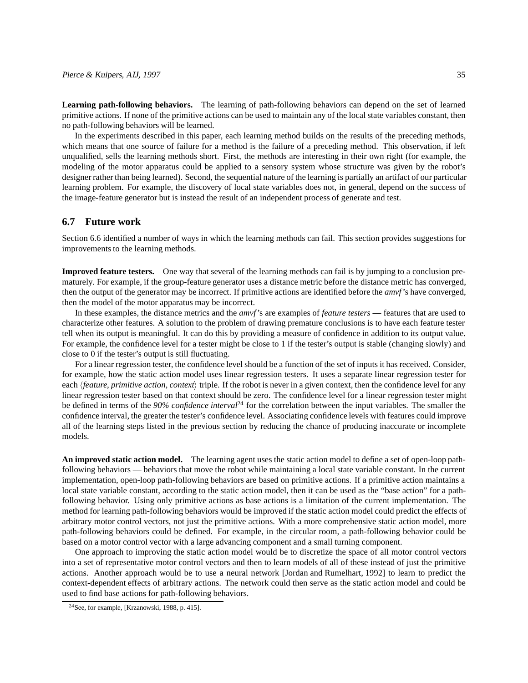**Learning path-following behaviors.** The learning of path-following behaviors can depend on the set of learned primitive actions. If none of the primitive actions can be used to maintain any of the local state variables constant, then no path-following behaviors will be learned.

In the experiments described in this paper, each learning method builds on the results of the preceding methods, which means that one source of failure for a method is the failure of a preceding method. This observation, if left unqualified, sells the learning methods short. First, the methods are interesting in their own right (for example, the modeling of the motor apparatus could be applied to a sensory system whose structure was given by the robot's designer rather than being learned). Second, the sequential nature of the learning is partially an artifact of our particular learning problem. For example, the discovery of local state variables does not, in general, depend on the success of the image-feature generator but is instead the result of an independent process of generate and test.

## **6.7 Future work**

Section 6.6 identified a number of ways in which the learning methods can fail. This section provides suggestions for improvements to the learning methods.

**Improved feature testers.** One way that several of the learning methods can fail is by jumping to a conclusion prematurely. For example, if the group-feature generator uses a distance metric before the distance metric has converged, then the output of the generator may be incorrect. If primitive actions are identified before the *amvf*'s have converged, then the model of the motor apparatus may be incorrect.

In these examples, the distance metrics and the *amvf*'s are examples of *feature testers* — features that are used to characterize other features. A solution to the problem of drawing premature conclusions is to have each feature tester tell when its output is meaningful. It can do this by providing a measure of confidence in addition to its output value. For example, the confidence level for a tester might be close to 1 if the tester's output is stable (changing slowly) and close to 0 if the tester's output is still fluctuating.

For a linear regression tester, the confidence level should be a function of the set of inputs it has received. Consider, for example, how the static action model uses linear regression testers. It uses a separate linear regression tester for each *\feature, primitive action, context*} triple. If the robot is never in a given context, then the confidence level for any linear regression tester based on that context should be zero. The confidence level for a linear regression tester might be defined in terms of the *90% confidence interval*<sup>24</sup> for the correlation between the input variables. The smaller the confidence interval, the greater the tester's confidence level. Associating confidence levels with features could improve all of the learning steps listed in the previous section by reducing the chance of producing inaccurate or incomplete models.

**An improved static action model.** The learning agent uses the static action model to define a set of open-loop pathfollowing behaviors — behaviors that move the robot while maintaining a local state variable constant. In the current implementation, open-loop path-following behaviors are based on primitive actions. If a primitive action maintains a local state variable constant, according to the static action model, then it can be used as the "base action" for a pathfollowing behavior. Using only primitive actions as base actions is a limitation of the current implementation. The method for learning path-following behaviors would be improved if the static action model could predict the effects of arbitrary motor control vectors, not just the primitive actions. With a more comprehensive static action model, more path-following behaviors could be defined. For example, in the circular room, a path-following behavior could be based on a motor control vector with a large advancing component and a small turning component.

One approach to improving the static action model would be to discretize the space of all motor control vectors into a set of representative motor control vectors and then to learn models of all of these instead of just the primitive actions. Another approach would be to use a neural network [Jordan and Rumelhart, 1992] to learn to predict the context-dependent effects of arbitrary actions. The network could then serve as the static action model and could be used to find base actions for path-following behaviors.

<sup>24</sup>See, for example, [Krzanowski, 1988, p. 415].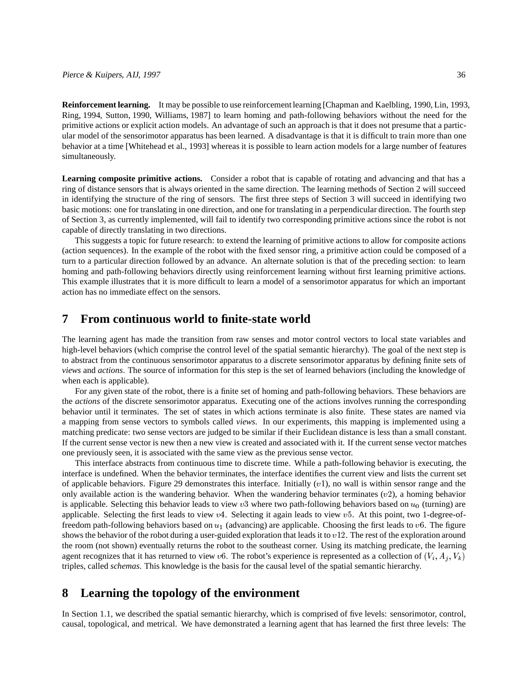**Reinforcement learning.** It may be possible to use reinforcement learning [Chapman and Kaelbling, 1990, Lin, 1993, Ring, 1994, Sutton, 1990, Williams, 1987] to learn homing and path-following behaviors without the need for the primitive actions or explicit action models. An advantage of such an approach is that it does not presume that a particular model of the sensorimotor apparatus has been learned. A disadvantage is that it is difficult to train more than one behavior at a time [Whitehead et al., 1993] whereas it is possible to learn action models for a large number of features simultaneously.

**Learning composite primitive actions.** Consider a robot that is capable of rotating and advancing and that has a ring of distance sensors that is always oriented in the same direction. The learning methods of Section 2 will succeed in identifying the structure of the ring of sensors. The first three steps of Section 3 will succeed in identifying two basic motions: one for translating in one direction, and one for translating in a perpendicular direction. The fourth step of Section 3, as currently implemented, will fail to identify two corresponding primitive actions since the robot is not capable of directly translating in two directions.

This suggests a topic for future research: to extend the learning of primitive actions to allow for composite actions (action sequences). In the example of the robot with the fixed sensor ring, a primitive action could be composed of a turn to a particular direction followed by an advance. An alternate solution is that of the preceding section: to learn homing and path-following behaviors directly using reinforcement learning without first learning primitive actions. This example illustrates that it is more difficult to learn a model of a sensorimotor apparatus for which an important action has no immediate effect on the sensors.

# **7 From continuous world to finite-state world**

The learning agent has made the transition from raw senses and motor control vectors to local state variables and high-level behaviors (which comprise the control level of the spatial semantic hierarchy). The goal of the next step is to abstract from the continuous sensorimotor apparatus to a discrete sensorimotor apparatus by defining finite sets of *views* and *actions*. The source of information for this step is the set of learned behaviors (including the knowledge of when each is applicable).

For any given state of the robot, there is a finite set of homing and path-following behaviors. These behaviors are the *actions* of the discrete sensorimotor apparatus. Executing one of the actions involves running the corresponding behavior until it terminates. The set of states in which actions terminate is also finite. These states are named via a mapping from sense vectors to symbols called *views*. In our experiments, this mapping is implemented using a matching predicate: two sense vectors are judged to be similar if their Euclidean distance is less than a small constant. If the current sense vector is new then a new view is created and associated with it. If the current sense vector matches one previously seen, it is associated with the same view as the previous sense vector.

This interface abstracts from continuous time to discrete time. While a path-following behavior is executing, the interface is undefined. When the behavior terminates, the interface identifies the current view and lists the current set of applicable behaviors. Figure 29 demonstrates this interface. Initially  $(v1)$ , no wall is within sensor range and the only available action is the wandering behavior. When the wandering behavior terminates  $(v2)$ , a homing behavior is applicable. Selecting this behavior leads to view v3 where two path-following behaviors based on  $u_0$  (turning) are applicable. Selecting the first leads to view  $v4$ . Selecting it again leads to view  $v5$ . At this point, two 1-degree-offreedom path-following behaviors based on  $u_1$  (advancing) are applicable. Choosing the first leads to  $v6$ . The figure shows the behavior of the robot during a user-guided exploration that leads it to  $v12$ . The rest of the exploration around the room (not shown) eventually returns the robot to the southeast corner. Using its matching predicate, the learning agent recognizes that it has returned to view v6. The robot's experience is represented as a collection of  $(V_i, A_j, V_k)$ triples, called *schemas*. This knowledge is the basis for the causal level of the spatial semantic hierarchy.

# **8 Learning the topology of the environment**

In Section 1.1, we described the spatial semantic hierarchy, which is comprised of five levels: sensorimotor, control, causal, topological, and metrical. We have demonstrated a learning agent that has learned the first three levels: The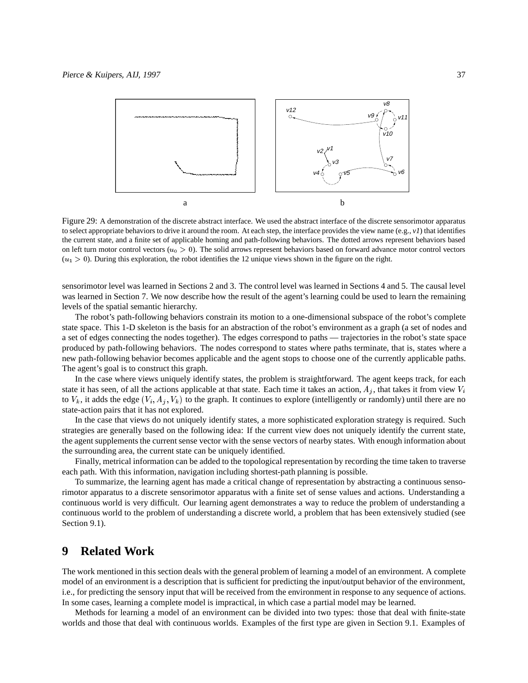

Figure 29: A demonstration of the discrete abstract interface. We used the abstract interface of the discrete sensorimotor apparatus to select appropriate behaviors to drive it around the room. At each step, the interface provides the view name (e.g., *v1*) that identifies the current state, and a finite set of applicable homing and path-following behaviors. The dotted arrows represent behaviors based on left turn motor control vectors ( $u_0 > 0$ ). The solid arrows represent behaviors based on forward advance motor control vectors  $(u_1 > 0)$ . During this exploration, the robot identifies the 12 unique views shown in the figure on the right.

sensorimotor level was learned in Sections 2 and 3. The control level was learned in Sections 4 and 5. The causal level was learned in Section 7. We now describe how the result of the agent's learning could be used to learn the remaining levels of the spatial semantic hierarchy.

The robot's path-following behaviors constrain its motion to a one-dimensional subspace of the robot's complete state space. This 1-D skeleton is the basis for an abstraction of the robot's environment as a graph (a set of nodes and a set of edges connecting the nodes together). The edges correspond to paths — trajectories in the robot's state space produced by path-following behaviors. The nodes correspond to states where paths terminate, that is, states where a new path-following behavior becomes applicable and the agent stops to choose one of the currently applicable paths. The agent's goal is to construct this graph.

In the case where views uniquely identify states, the problem is straightforward. The agent keeps track, for each state it has seen, of all the actions applicable at that state. Each time it takes an action,  $A_i$ , that takes it from view  $V_i$ to  $V_k$ , it adds the edge  $(V_i, A_j, V_k)$  to the graph. It continues to explore (intelligently or randomly) until there are no state-action pairs that it has not explored.

In the case that views do not uniquely identify states, a more sophisticated exploration strategy is required. Such strategies are generally based on the following idea: If the current view does not uniquely identify the current state, the agent supplements the current sense vector with the sense vectors of nearby states. With enough information about the surrounding area, the current state can be uniquely identified.

Finally, metrical information can be added to the topological representation by recording the time taken to traverse each path. With this information, navigation including shortest-path planning is possible.

To summarize, the learning agent has made a critical change of representation by abstracting a continuous sensorimotor apparatus to a discrete sensorimotor apparatus with a finite set of sense values and actions. Understanding a continuous world is very difficult. Our learning agent demonstrates a way to reduce the problem of understanding a continuous world to the problem of understanding a discrete world, a problem that has been extensively studied (see Section 9.1).

# **9 Related Work**

The work mentioned in this section deals with the general problem of learning a model of an environment. A complete model of an environment is a description that is sufficient for predicting the input/output behavior of the environment, i.e., for predicting the sensory input that will be received from the environment in response to any sequence of actions. In some cases, learning a complete model is impractical, in which case a partial model may be learned.

Methods for learning a model of an environment can be divided into two types: those that deal with finite-state worlds and those that deal with continuous worlds. Examples of the first type are given in Section 9.1. Examples of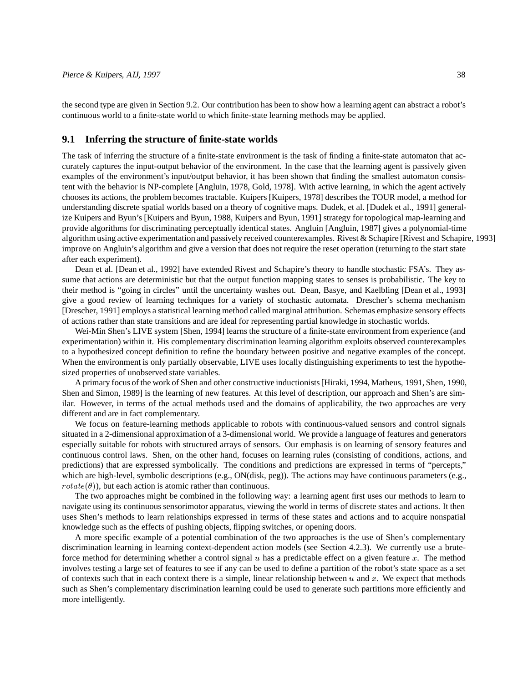the second type are given in Section 9.2. Our contribution has been to show how a learning agent can abstract a robot's continuous world to a finite-state world to which finite-state learning methods may be applied.

## **9.1 Inferring the structure of finite-state worlds**

The task of inferring the structure of a finite-state environment is the task of finding a finite-state automaton that accurately captures the input-output behavior of the environment. In the case that the learning agent is passively given examples of the environment's input/output behavior, it has been shown that finding the smallest automaton consistent with the behavior is NP-complete [Angluin, 1978, Gold, 1978]. With active learning, in which the agent actively chooses its actions, the problem becomes tractable. Kuipers [Kuipers, 1978] describes the TOUR model, a method for understanding discrete spatial worlds based on a theory of cognitive maps. Dudek, et al. [Dudek et al., 1991] generalize Kuipers and Byun's [Kuipers and Byun, 1988, Kuipers and Byun, 1991] strategy for topological map-learning and provide algorithms for discriminating perceptually identical states. Angluin [Angluin, 1987] gives a polynomial-time algorithm using active experimentation and passively received counterexamples. Rivest & Schapire [Rivest and Schapire, 1993] improve on Angluin's algorithm and give a version that does not require the reset operation (returning to the start state after each experiment).

Dean et al. [Dean et al., 1992] have extended Rivest and Schapire's theory to handle stochastic FSA's. They assume that actions are deterministic but that the output function mapping states to senses is probabilistic. The key to their method is "going in circles" until the uncertainty washes out. Dean, Basye, and Kaelbling [Dean et al., 1993] give a good review of learning techniques for a variety of stochastic automata. Drescher's schema mechanism [Drescher, 1991] employs a statistical learning method called marginal attribution. Schemas emphasize sensory effects of actions rather than state transitions and are ideal for representing partial knowledge in stochastic worlds.

Wei-Min Shen's LIVE system [Shen, 1994] learns the structure of a finite-state environment from experience (and experimentation) within it. His complementary discrimination learning algorithm exploits observed counterexamples to a hypothesized concept definition to refine the boundary between positive and negative examples of the concept. When the environment is only partially observable, LIVE uses locally distinguishing experiments to test the hypothesized properties of unobserved state variables.

A primary focus of the work of Shen and other constructive inductionists [Hiraki, 1994, Matheus, 1991, Shen, 1990, Shen and Simon, 1989] is the learning of new features. At this level of description, our approach and Shen's are similar. However, in terms of the actual methods used and the domains of applicability, the two approaches are very different and are in fact complementary.

We focus on feature-learning methods applicable to robots with continuous-valued sensors and control signals situated in a 2-dimensional approximation of a 3-dimensional world. We provide a language of features and generators especially suitable for robots with structured arrays of sensors. Our emphasis is on learning of sensory features and continuous control laws. Shen, on the other hand, focuses on learning rules (consisting of conditions, actions, and predictions) that are expressed symbolically. The conditions and predictions are expressed in terms of "percepts," which are high-level, symbolic descriptions (e.g., ON(disk, peg)). The actions may have continuous parameters (e.g.,  $rotate(\theta)$ , but each action is atomic rather than continuous.

The two approaches might be combined in the following way: a learning agent first uses our methods to learn to navigate using its continuous sensorimotor apparatus, viewing the world in terms of discrete states and actions. It then uses Shen's methods to learn relationships expressed in terms of these states and actions and to acquire nonspatial knowledge such as the effects of pushing objects, flipping switches, or opening doors.

A more specific example of a potential combination of the two approaches is the use of Shen's complementary discrimination learning in learning context-dependent action models (see Section 4.2.3). We currently use a bruteforce method for determining whether a control signal  $u$  has a predictable effect on a given feature  $x$ . The method involves testing a large set of features to see if any can be used to define a partition of the robot's state space as a set of contexts such that in each context there is a simple, linear relationship between  $u$  and  $x$ . We expect that methods such as Shen's complementary discrimination learning could be used to generate such partitions more efficiently and more intelligently.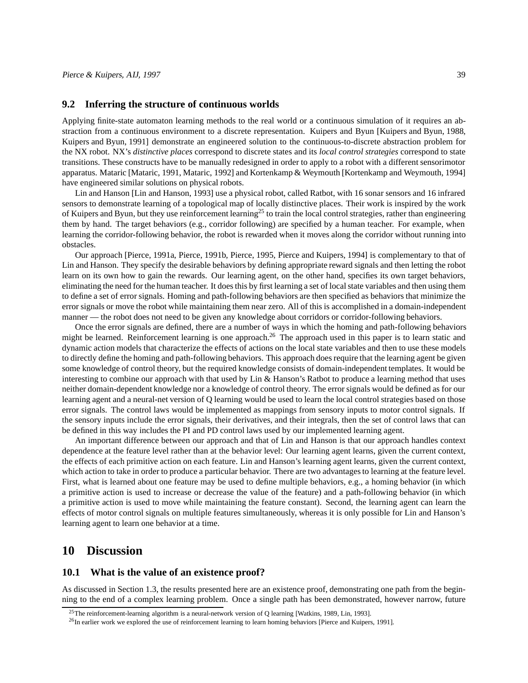## **9.2 Inferring the structure of continuous worlds**

Applying finite-state automaton learning methods to the real world or a continuous simulation of it requires an abstraction from a continuous environment to a discrete representation. Kuipers and Byun [Kuipers and Byun, 1988, Kuipers and Byun, 1991] demonstrate an engineered solution to the continuous-to-discrete abstraction problem for the NX robot. NX's *distinctive places* correspond to discrete states and its *local control strategies* correspond to state transitions. These constructs have to be manually redesigned in order to apply to a robot with a different sensorimotor apparatus. Mataric [Mataric, 1991, Mataric, 1992] and Kortenkamp & Weymouth [Kortenkamp and Weymouth, 1994] have engineered similar solutions on physical robots.

Lin and Hanson [Lin and Hanson, 1993] use a physical robot, called Ratbot, with 16 sonar sensors and 16 infrared sensors to demonstrate learning of a topological map of locally distinctive places. Their work is inspired by the work of Kuipers and Byun, but they use reinforcement learning<sup>25</sup> to train the local control strategies, rather than engineering them by hand. The target behaviors (e.g., corridor following) are specified by a human teacher. For example, when learning the corridor-following behavior, the robot is rewarded when it moves along the corridor without running into obstacles.

Our approach [Pierce, 1991a, Pierce, 1991b, Pierce, 1995, Pierce and Kuipers, 1994] is complementary to that of Lin and Hanson. They specify the desirable behaviors by defining appropriate reward signals and then letting the robot learn on its own how to gain the rewards. Our learning agent, on the other hand, specifies its own target behaviors, eliminating the need for the human teacher. It does this by first learning a set of local state variables and then using them to define a set of error signals. Homing and path-following behaviors are then specified as behaviors that minimize the error signals or move the robot while maintaining them near zero. All of this is accomplished in a domain-independent manner — the robot does not need to be given any knowledge about corridors or corridor-following behaviors.

Once the error signals are defined, there are a number of ways in which the homing and path-following behaviors might be learned. Reinforcement learning is one approach.<sup>26</sup> The approach used in this paper is to learn static and dynamic action models that characterize the effects of actions on the local state variables and then to use these models to directly define the homing and path-following behaviors. This approach does require that the learning agent be given some knowledge of control theory, but the required knowledge consists of domain-independent templates. It would be interesting to combine our approach with that used by Lin & Hanson's Ratbot to produce a learning method that uses neither domain-dependent knowledge nor a knowledge of control theory. The error signals would be defined as for our learning agent and a neural-net version of Q learning would be used to learn the local control strategies based on those error signals. The control laws would be implemented as mappings from sensory inputs to motor control signals. If the sensory inputs include the error signals, their derivatives, and their integrals, then the set of control laws that can be defined in this way includes the PI and PD control laws used by our implemented learning agent.

An important difference between our approach and that of Lin and Hanson is that our approach handles context dependence at the feature level rather than at the behavior level: Our learning agent learns, given the current context, the effects of each primitive action on each feature. Lin and Hanson's learning agent learns, given the current context, which action to take in order to produce a particular behavior. There are two advantages to learning at the feature level. First, what is learned about one feature may be used to define multiple behaviors, e.g., a homing behavior (in which a primitive action is used to increase or decrease the value of the feature) and a path-following behavior (in which a primitive action is used to move while maintaining the feature constant). Second, the learning agent can learn the effects of motor control signals on multiple features simultaneously, whereas it is only possible for Lin and Hanson's learning agent to learn one behavior at a time.

# **10 Discussion**

### **10.1 What is the value of an existence proof?**

As discussed in Section 1.3, the results presented here are an existence proof, demonstrating one path from the beginning to the end of a complex learning problem. Once a single path has been demonstrated, however narrow, future

<sup>25</sup>The reinforcement-learning algorithm is a neural-network version of Q learning [Watkins, 1989, Lin, 1993].

 $^{26}$ In earlier work we explored the use of reinforcement learning to learn homing behaviors [Pierce and Kuipers, 1991].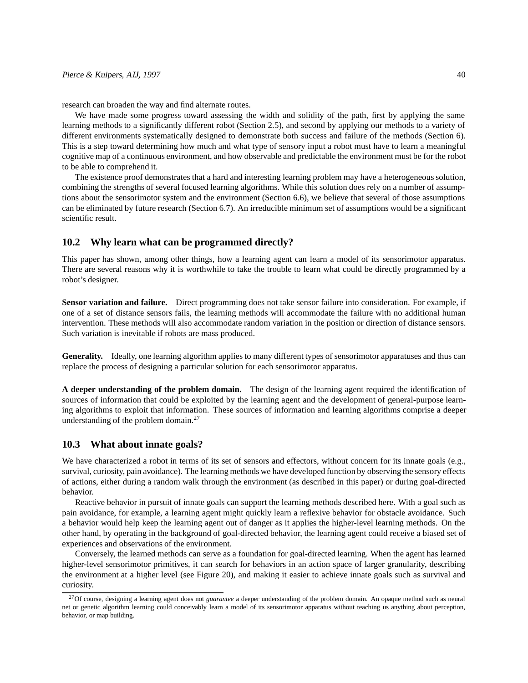research can broaden the way and find alternate routes.

We have made some progress toward assessing the width and solidity of the path, first by applying the same learning methods to a significantly different robot (Section 2.5), and second by applying our methods to a variety of different environments systematically designed to demonstrate both success and failure of the methods (Section 6). This is a step toward determining how much and what type of sensory input a robot must have to learn a meaningful cognitive map of a continuous environment, and how observable and predictable the environment must be for the robot to be able to comprehend it.

The existence proof demonstrates that a hard and interesting learning problem may have a heterogeneous solution, combining the strengths of several focused learning algorithms. While this solution does rely on a number of assumptions about the sensorimotor system and the environment (Section 6.6), we believe that several of those assumptions can be eliminated by future research (Section 6.7). An irreducible minimum set of assumptions would be a significant scientific result.

# **10.2 Why learn what can be programmed directly?**

This paper has shown, among other things, how a learning agent can learn a model of its sensorimotor apparatus. There are several reasons why it is worthwhile to take the trouble to learn what could be directly programmed by a robot's designer.

**Sensor variation and failure.** Direct programming does not take sensor failure into consideration. For example, if one of a set of distance sensors fails, the learning methods will accommodate the failure with no additional human intervention. These methods will also accommodate random variation in the position or direction of distance sensors. Such variation is inevitable if robots are mass produced.

Generality. Ideally, one learning algorithm applies to many different types of sensorimotor apparatuses and thus can replace the process of designing a particular solution for each sensorimotor apparatus.

**A deeper understanding of the problem domain.** The design of the learning agent required the identification of sources of information that could be exploited by the learning agent and the development of general-purpose learning algorithms to exploit that information. These sources of information and learning algorithms comprise a deeper understanding of the problem domain. $27$ 

### **10.3 What about innate goals?**

We have characterized a robot in terms of its set of sensors and effectors, without concern for its innate goals (e.g., survival, curiosity, pain avoidance). The learning methods we have developed function by observing the sensory effects of actions, either during a random walk through the environment (as described in this paper) or during goal-directed behavior.

Reactive behavior in pursuit of innate goals can support the learning methods described here. With a goal such as pain avoidance, for example, a learning agent might quickly learn a reflexive behavior for obstacle avoidance. Such a behavior would help keep the learning agent out of danger as it applies the higher-level learning methods. On the other hand, by operating in the background of goal-directed behavior, the learning agent could receive a biased set of experiences and observations of the environment.

Conversely, the learned methods can serve as a foundation for goal-directed learning. When the agent has learned higher-level sensorimotor primitives, it can search for behaviors in an action space of larger granularity, describing the environment at a higher level (see Figure 20), and making it easier to achieve innate goals such as survival and curiosity.

<sup>27</sup>Of course, designing a learning agent does not *guarantee* a deeper understanding of the problem domain. An opaque method such as neural net or genetic algorithm learning could conceivably learn a model of its sensorimotor apparatus without teaching us anything about perception, behavior, or map building.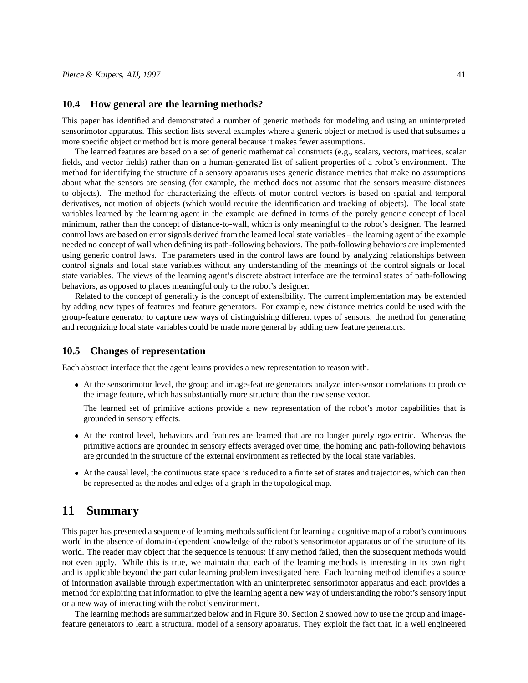## **10.4 How general are the learning methods?**

This paper has identified and demonstrated a number of generic methods for modeling and using an uninterpreted sensorimotor apparatus. This section lists several examples where a generic object or method is used that subsumes a more specific object or method but is more general because it makes fewer assumptions.

The learned features are based on a set of generic mathematical constructs (e.g., scalars, vectors, matrices, scalar fields, and vector fields) rather than on a human-generated list of salient properties of a robot's environment. The method for identifying the structure of a sensory apparatus uses generic distance metrics that make no assumptions about what the sensors are sensing (for example, the method does not assume that the sensors measure distances to objects). The method for characterizing the effects of motor control vectors is based on spatial and temporal derivatives, not motion of objects (which would require the identification and tracking of objects). The local state variables learned by the learning agent in the example are defined in terms of the purely generic concept of local minimum, rather than the concept of distance-to-wall, which is only meaningful to the robot's designer. The learned control laws are based on error signals derived from the learned local state variables – the learning agent of the example needed no concept of wall when defining its path-following behaviors. The path-following behaviors are implemented using generic control laws. The parameters used in the control laws are found by analyzing relationships between control signals and local state variables without any understanding of the meanings of the control signals or local state variables. The views of the learning agent's discrete abstract interface are the terminal states of path-following behaviors, as opposed to places meaningful only to the robot's designer.

Related to the concept of generality is the concept of extensibility. The current implementation may be extended by adding new types of features and feature generators. For example, new distance metrics could be used with the group-feature generator to capture new ways of distinguishing different types of sensors; the method for generating and recognizing local state variables could be made more general by adding new feature generators.

# **10.5 Changes of representation**

Each abstract interface that the agent learns provides a new representation to reason with.

 At the sensorimotor level, the group and image-feature generators analyze inter-sensor correlations to produce the image feature, which has substantially more structure than the raw sense vector.

The learned set of primitive actions provide a new representation of the robot's motor capabilities that is grounded in sensory effects.

- At the control level, behaviors and features are learned that are no longer purely egocentric. Whereas the primitive actions are grounded in sensory effects averaged over time, the homing and path-following behaviors are grounded in the structure of the external environment as reflected by the local state variables.
- At the causal level, the continuous state space is reduced to a finite set of states and trajectories, which can then be represented as the nodes and edges of a graph in the topological map.

# **11 Summary**

This paper has presented a sequence of learning methods sufficient for learning a cognitive map of a robot's continuous world in the absence of domain-dependent knowledge of the robot's sensorimotor apparatus or of the structure of its world. The reader may object that the sequence is tenuous: if any method failed, then the subsequent methods would not even apply. While this is true, we maintain that each of the learning methods is interesting in its own right and is applicable beyond the particular learning problem investigated here. Each learning method identifies a source of information available through experimentation with an uninterpreted sensorimotor apparatus and each provides a method for exploiting that information to give the learning agent a new way of understanding the robot's sensory input or a new way of interacting with the robot's environment.

The learning methods are summarized below and in Figure 30. Section 2 showed how to use the group and imagefeature generators to learn a structural model of a sensory apparatus. They exploit the fact that, in a well engineered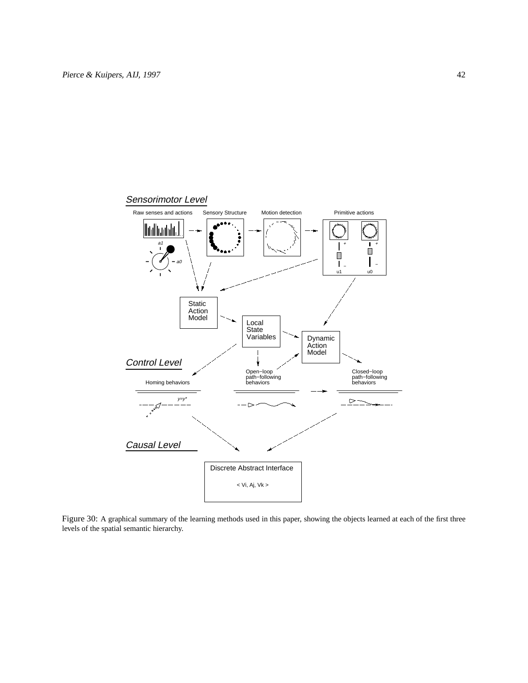

Figure 30: A graphical summary of the learning methods used in this paper, showing the objects learned at each of the first three levels of the spatial semantic hierarchy.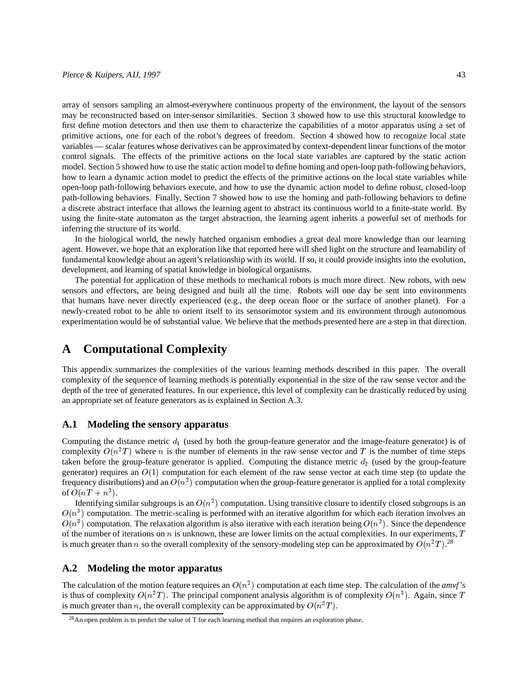array of sensors sampling an almost-everywhere continuous property of the environment, the layout of the sensors may be reconstructed based on inter-sensor similarities. Section 3 showed how to use this structural knowledge to first define motion detectors and then use them to characterize the capabilities of a motor apparatus using a set of primitive actions, one for each of the robot's degrees of freedom. Section 4 showed how to recognize local state variables — scalar features whose derivatives can be approximated by context-dependent linear functions of the motor control signals. The effects of the primitive actions on the local state variables are captured by the static action model. Section 5 showed how to use the static action model to define homing and open-loop path-following behaviors, how to learn a dynamic action model to predict the effects of the primitive actions on the local state variables while open-loop path-following behaviors execute, and how to use the dynamic action model to define robust, closed-loop path-following behaviors. Finally, Section 7 showed how to use the homing and path-following behaviors to define a discrete abstract interface that allows the learning agent to abstract its continuous world to a finite-state world. By using the finite-state automaton as the target abstraction, the learning agent inherits a powerful set of methods for inferring the structure of its world.

In the biological world, the newly hatched organism embodies a great deal more knowledge than our learning agent. However, we hope that an exploration like that reported here will shed light on the structure and learnability of fundamental knowledge about an agent's relationship with its world. If so, it could provide insights into the evolution, development, and learning of spatial knowledge in biological organisms.

The potential for application of these methods to mechanical robots is much more direct. New robots, with new sensors and effectors, are being designed and built all the time. Robots will one day be sent into environments that humans have never directly experienced (e.g., the deep ocean floor or the surface of another planet). For a newly-created robot to be able to orient itself to its sensorimotor system and its environment through autonomous experimentation would be of substantial value. We believe that the methods presented here are a step in that direction.

# **A Computational Complexity**

This appendix summarizes the complexities of the various learning methods described in this paper. The overall complexity of the sequence of learning methods is potentially exponential in the size of the raw sense vector and the depth of the tree of generated features. In our experience, this level of complexity can be drastically reduced by using an appropriate set of feature generators as is explained in Section A.3.

# **A.1 Modeling the sensory apparatus**

Computing the distance metric  $d_1$  (used by both the group-feature generator and the image-feature generator) is of complexity  $O(n^2T)$  where n is the number of elements in the raw sense vector and T is the number of time steps taken before the group-feature generator is applied. Computing the distance metric  $d_2$  (used by the group-feature generator) requires an  $O(1)$  computation for each element of the raw sense vector at each time step (to update the frequency distributions) and an  $O(n^2)$  computation when the group-feature generator is applied for a total complexity of  $O(nT + n^2)$ .

Identifying similar subgroups is an  $O(n^2)$  computation. Using transitive closure to identify closed subgroups is an  $O(n^3)$  computation. The metric-scaling is performed with an iterative algorithm for which each iteration involves an  $O(n^3)$  computation. The relaxation algorithm is also iterative with each iteration being  $O(n^2)$ . Since the dependence of the number of iterations on n is unknown, these are lower limits on the actual complexities. In our experiments,  $T$ is much greater than n so the overall complexity of the sensory-modeling step can be approximated by  $O(n^2T)$ .<sup>28</sup>

# **A.2 Modeling the motor apparatus**

The calculation of the motion feature requires an  $O(n^2)$  computation at each time step. The calculation of the *amvf*'s is thus of complexity  $O(n^2T)$ . The principal component analysis algorithm is of complexity  $O(n^3)$ . Again, since T is much greater than *n*, the overall complexity can be approximated by  $O(n^2T)$ .

 $^{28}$ An open problem is to predict the value of T for each learning method that requires an exploration phase.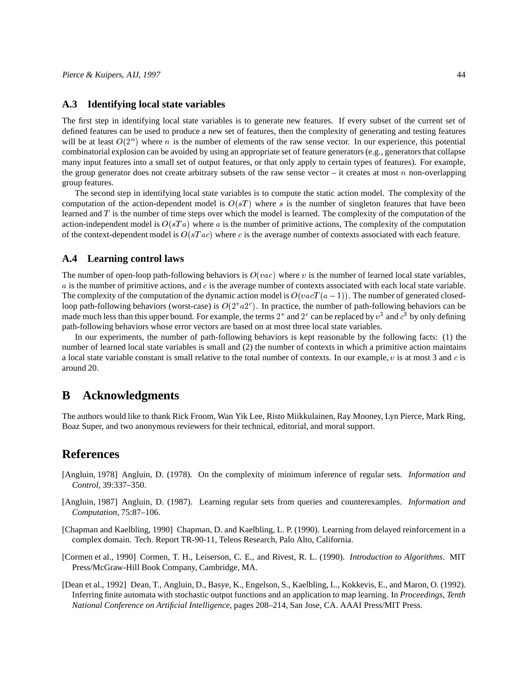## **A.3 Identifying local state variables**

The first step in identifying local state variables is to generate new features. If every subset of the current set of defined features can be used to produce a new set of features, then the complexity of generating and testing features will be at least  $O(2^n)$  where n is the number of elements of the raw sense vector. In our experience, this potential combinatorial explosion can be avoided by using an appropriate set of feature generators (e.g., generators that collapse many input features into a small set of output features, or that only apply to certain types of features). For example, the group generator does not create arbitrary subsets of the raw sense vector – it creates at most n non-overlapping group features.

The second step in identifying local state variables is to compute the static action model. The complexity of the computation of the action-dependent model is  $O(sT)$  where s is the number of singleton features that have been learned and  $T$  is the number of time steps over which the model is learned. The complexity of the computation of the action-independent model is  $O(sTa)$  where a is the number of primitive actions, The complexity of the computation of the context-dependent model is  $O(sTa c)$  where c is the average number of contexts associated with each feature.

### **A.4 Learning control laws**

The number of open-loop path-following behaviors is  $O(vac)$  where v is the number of learned local state variables,  $\alpha$  is the number of primitive actions, and  $\alpha$  is the average number of contexts associated with each local state variable. The complexity of the computation of the dynamic action model is  $O(vacT(a-1))$ . The number of generated closedloop path-following behaviors (worst-case) is  $O(2^v a 2^c)$ . In practice, the number of path-following behaviors can be made much less than this upper bound. For example, the terms  $2^v$  and  $2^c$  can be replaced by  $v^3$  and  $c^3$  by only defining path-following behaviors whose error vectors are based on at most three local state variables.

In our experiments, the number of path-following behaviors is kept reasonable by the following facts: (1) the number of learned local state variables is small and (2) the number of contexts in which a primitive action maintains a local state variable constant is small relative to the total number of contexts. In our example,  $v$  is at most 3 and  $c$  is around 20.

# **B Acknowledgments**

The authors would like to thank Rick Froom, Wan Yik Lee, Risto Miikkulainen, Ray Mooney, Lyn Pierce, Mark Ring, Boaz Super, and two anonymous reviewers for their technical, editorial, and moral support.

# **References**

- [Angluin, 1978] Angluin, D. (1978). On the complexity of minimum inference of regular sets. *Information and Control*, 39:337–350.
- [Angluin, 1987] Angluin, D. (1987). Learning regular sets from queries and counterexamples. *Information and Computation*, 75:87–106.
- [Chapman and Kaelbling, 1990] Chapman, D. and Kaelbling, L. P. (1990). Learning from delayed reinforcement in a complex domain. Tech. Report TR-90-11, Teleos Research, Palo Alto, California.
- [Cormen et al., 1990] Cormen, T. H., Leiserson, C. E., and Rivest, R. L. (1990). *Introduction to Algorithms*. MIT Press/McGraw-Hill Book Company, Cambridge, MA.
- [Dean et al., 1992] Dean, T., Angluin, D., Basye, K., Engelson, S., Kaelbling, L., Kokkevis, E., and Maron, O. (1992). Inferring finite automata with stochastic output functions and an application to map learning. In *Proceedings, Tenth National Conference on Artificial Intelligence*, pages 208–214, San Jose, CA. AAAI Press/MIT Press.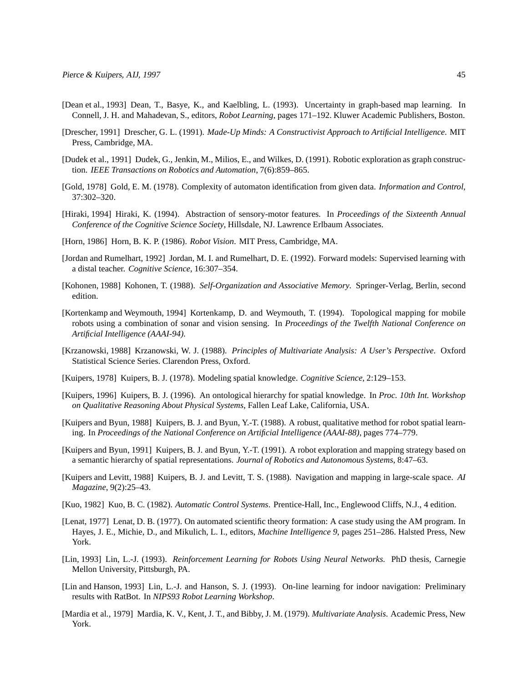- [Dean et al., 1993] Dean, T., Basye, K., and Kaelbling, L. (1993). Uncertainty in graph-based map learning. In Connell, J. H. and Mahadevan, S., editors, *Robot Learning*, pages 171–192. Kluwer Academic Publishers, Boston.
- [Drescher, 1991] Drescher, G. L. (1991). *Made-Up Minds: A Constructivist Approach to Artificial Intelligence*. MIT Press, Cambridge, MA.
- [Dudek et al., 1991] Dudek, G., Jenkin, M., Milios, E., and Wilkes, D. (1991). Robotic exploration as graph construction. *IEEE Transactions on Robotics and Automation*, 7(6):859–865.
- [Gold, 1978] Gold, E. M. (1978). Complexity of automaton identification from given data. *Information and Control*, 37:302–320.
- [Hiraki, 1994] Hiraki, K. (1994). Abstraction of sensory-motor features. In *Proceedings of the Sixteenth Annual Conference of the Cognitive Science Society*, Hillsdale, NJ. Lawrence Erlbaum Associates.
- [Horn, 1986] Horn, B. K. P. (1986). *Robot Vision*. MIT Press, Cambridge, MA.
- [Jordan and Rumelhart, 1992] Jordan, M. I. and Rumelhart, D. E. (1992). Forward models: Supervised learning with a distal teacher. *Cognitive Science*, 16:307–354.
- [Kohonen, 1988] Kohonen, T. (1988). *Self-Organization and Associative Memory*. Springer-Verlag, Berlin, second edition.
- [Kortenkamp and Weymouth, 1994] Kortenkamp, D. and Weymouth, T. (1994). Topological mapping for mobile robots using a combination of sonar and vision sensing. In *Proceedings of the Twelfth National Conference on Artificial Intelligence (AAAI-94)*.
- [Krzanowski, 1988] Krzanowski, W. J. (1988). *Principles of Multivariate Analysis: A User's Perspective*. Oxford Statistical Science Series. Clarendon Press, Oxford.
- [Kuipers, 1978] Kuipers, B. J. (1978). Modeling spatial knowledge. *Cognitive Science*, 2:129–153.
- [Kuipers, 1996] Kuipers, B. J. (1996). An ontological hierarchy for spatial knowledge. In *Proc. 10th Int. Workshop on Qualitative Reasoning About Physical Systems*, Fallen Leaf Lake, California, USA.
- [Kuipers and Byun, 1988] Kuipers, B. J. and Byun, Y.-T. (1988). A robust, qualitative method for robot spatial learning. In *Proceedings of the National Conference on Artificial Intelligence (AAAI-88)*, pages 774–779.
- [Kuipers and Byun, 1991] Kuipers, B. J. and Byun, Y.-T. (1991). A robot exploration and mapping strategy based on a semantic hierarchy of spatial representations. *Journal of Robotics and Autonomous Systems*, 8:47–63.
- [Kuipers and Levitt, 1988] Kuipers, B. J. and Levitt, T. S. (1988). Navigation and mapping in large-scale space. *AI Magazine*, 9(2):25–43.
- [Kuo, 1982] Kuo, B. C. (1982). *Automatic Control Systems*. Prentice-Hall, Inc., Englewood Cliffs, N.J., 4 edition.
- [Lenat, 1977] Lenat, D. B. (1977). On automated scientific theory formation: A case study using the AM program. In Hayes, J. E., Michie, D., and Mikulich, L. I., editors, *Machine Intelligence 9*, pages 251–286. Halsted Press, New York.
- [Lin, 1993] Lin, L.-J. (1993). *Reinforcement Learning for Robots Using Neural Networks*. PhD thesis, Carnegie Mellon University, Pittsburgh, PA.
- [Lin and Hanson, 1993] Lin, L.-J. and Hanson, S. J. (1993). On-line learning for indoor navigation: Preliminary results with RatBot. In *NIPS93 Robot Learning Workshop*.
- [Mardia et al., 1979] Mardia, K. V., Kent, J. T., and Bibby, J. M. (1979). *Multivariate Analysis*. Academic Press, New York.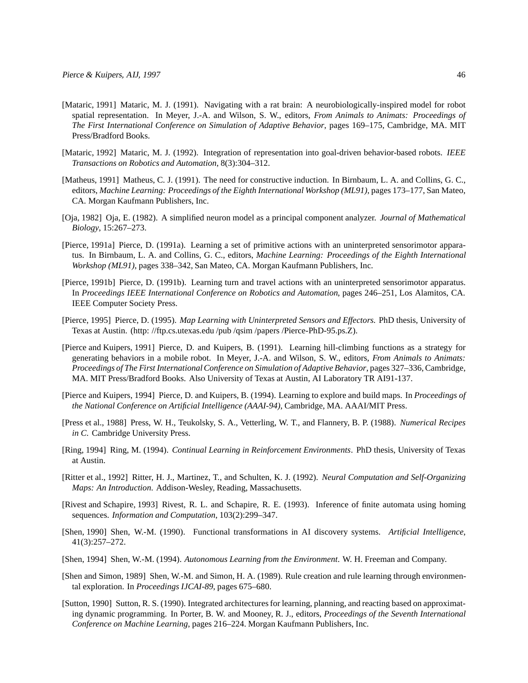- [Mataric, 1991] Mataric, M. J. (1991). Navigating with a rat brain: A neurobiologically-inspired model for robot spatial representation. In Meyer, J.-A. and Wilson, S. W., editors, *From Animals to Animats: Proceedings of The First International Conference on Simulation of Adaptive Behavior*, pages 169–175, Cambridge, MA. MIT Press/Bradford Books.
- [Mataric, 1992] Mataric, M. J. (1992). Integration of representation into goal-driven behavior-based robots. *IEEE Transactions on Robotics and Automation*, 8(3):304–312.
- [Matheus, 1991] Matheus, C. J. (1991). The need for constructive induction. In Birnbaum, L. A. and Collins, G. C., editors, *Machine Learning: Proceedings of the Eighth International Workshop (ML91)*, pages 173–177, San Mateo, CA. Morgan Kaufmann Publishers, Inc.
- [Oja, 1982] Oja, E. (1982). A simplified neuron model as a principal component analyzer. *Journal of Mathematical Biology*, 15:267–273.
- [Pierce, 1991a] Pierce, D. (1991a). Learning a set of primitive actions with an uninterpreted sensorimotor apparatus. In Birnbaum, L. A. and Collins, G. C., editors, *Machine Learning: Proceedings of the Eighth International Workshop (ML91)*, pages 338–342, San Mateo, CA. Morgan Kaufmann Publishers, Inc.
- [Pierce, 1991b] Pierce, D. (1991b). Learning turn and travel actions with an uninterpreted sensorimotor apparatus. In *Proceedings IEEE International Conference on Robotics and Automation*, pages 246–251, Los Alamitos, CA. IEEE Computer Society Press.
- [Pierce, 1995] Pierce, D. (1995). *Map Learning with Uninterpreted Sensors and Effectors*. PhD thesis, University of Texas at Austin. (http: //ftp.cs.utexas.edu /pub /qsim /papers /Pierce-PhD-95.ps.Z).
- [Pierce and Kuipers, 1991] Pierce, D. and Kuipers, B. (1991). Learning hill-climbing functions as a strategy for generating behaviors in a mobile robot. In Meyer, J.-A. and Wilson, S. W., editors, *From Animals to Animats: Proceedings of The First International Conference on Simulation of Adaptive Behavior*, pages 327–336, Cambridge, MA. MIT Press/Bradford Books. Also University of Texas at Austin, AI Laboratory TR AI91-137.
- [Pierce and Kuipers, 1994] Pierce, D. and Kuipers, B. (1994). Learning to explore and build maps. In *Proceedings of the National Conference on Artificial Intelligence (AAAI-94)*, Cambridge, MA. AAAI/MIT Press.
- [Press et al., 1988] Press, W. H., Teukolsky, S. A., Vetterling, W. T., and Flannery, B. P. (1988). *Numerical Recipes in C*. Cambridge University Press.
- [Ring, 1994] Ring, M. (1994). *Continual Learning in Reinforcement Environments*. PhD thesis, University of Texas at Austin.
- [Ritter et al., 1992] Ritter, H. J., Martinez, T., and Schulten, K. J. (1992). *Neural Computation and Self-Organizing Maps: An Introduction*. Addison-Wesley, Reading, Massachusetts.
- [Rivest and Schapire, 1993] Rivest, R. L. and Schapire, R. E. (1993). Inference of finite automata using homing sequences. *Information and Computation*, 103(2):299–347.
- [Shen, 1990] Shen, W.-M. (1990). Functional transformations in AI discovery systems. *Artificial Intelligence*, 41(3):257–272.
- [Shen, 1994] Shen, W.-M. (1994). *Autonomous Learning from the Environment*. W. H. Freeman and Company.
- [Shen and Simon, 1989] Shen, W.-M. and Simon, H. A. (1989). Rule creation and rule learning through environmental exploration. In *Proceedings IJCAI-89*, pages 675–680.
- [Sutton, 1990] Sutton, R. S. (1990). Integrated architectures for learning, planning, and reacting based on approximating dynamic programming. In Porter, B. W. and Mooney, R. J., editors, *Proceedings of the Seventh International Conference on Machine Learning*, pages 216–224. Morgan Kaufmann Publishers, Inc.